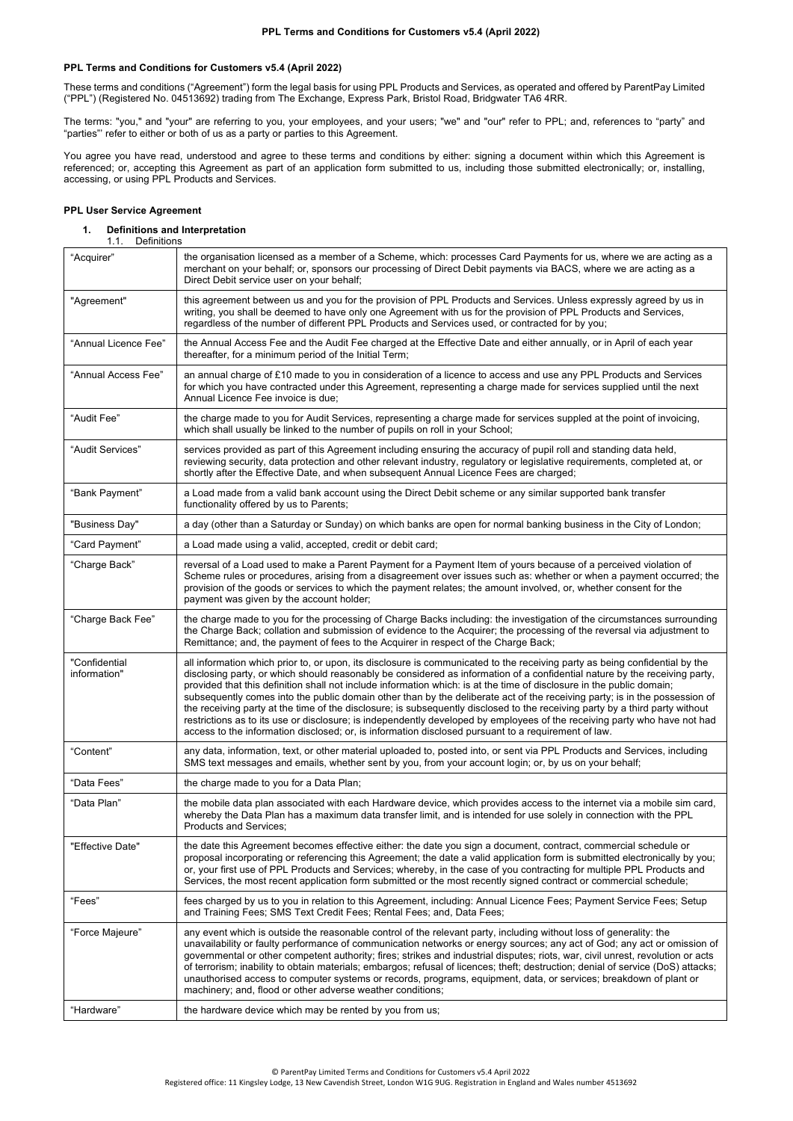These terms and conditions ("Agreement") form the legal basis for using PPL Products and Services, as operated and offered by ParentPay Limited ("PPL") (Registered No. 04513692) trading from The Exchange, Express Park, Bristol Road, Bridgwater TA6 4RR.

The terms: "you," and "your" are referring to you, your employees, and your users; "we" and "our" refer to PPL; and, references to "party" and "parties"' refer to either or both of us as a party or parties to this Agreement.

You agree you have read, understood and agree to these terms and conditions by either: signing a document within which this Agreement is referenced; or, accepting this Agreement as part of an application form submitted to us, including those submitted electronically; or, installing, accessing, or using PPL Products and Services.

# **PPL User Service Agreement**

#### **1. Definitions and Interpretation** 1.1. Definitions

| "Acquirer"                    | the organisation licensed as a member of a Scheme, which: processes Card Payments for us, where we are acting as a<br>merchant on your behalf; or, sponsors our processing of Direct Debit payments via BACS, where we are acting as a<br>Direct Debit service user on your behalf;                                                                                                                                                                                                                                                                                                                                                                                                                                                                                                                                                                                                  |
|-------------------------------|--------------------------------------------------------------------------------------------------------------------------------------------------------------------------------------------------------------------------------------------------------------------------------------------------------------------------------------------------------------------------------------------------------------------------------------------------------------------------------------------------------------------------------------------------------------------------------------------------------------------------------------------------------------------------------------------------------------------------------------------------------------------------------------------------------------------------------------------------------------------------------------|
| "Agreement"                   | this agreement between us and you for the provision of PPL Products and Services. Unless expressly agreed by us in<br>writing, you shall be deemed to have only one Agreement with us for the provision of PPL Products and Services,<br>regardless of the number of different PPL Products and Services used, or contracted for by you;                                                                                                                                                                                                                                                                                                                                                                                                                                                                                                                                             |
| "Annual Licence Fee"          | the Annual Access Fee and the Audit Fee charged at the Effective Date and either annually, or in April of each year<br>thereafter, for a minimum period of the Initial Term;                                                                                                                                                                                                                                                                                                                                                                                                                                                                                                                                                                                                                                                                                                         |
| "Annual Access Fee"           | an annual charge of £10 made to you in consideration of a licence to access and use any PPL Products and Services<br>for which you have contracted under this Agreement, representing a charge made for services supplied until the next<br>Annual Licence Fee invoice is due;                                                                                                                                                                                                                                                                                                                                                                                                                                                                                                                                                                                                       |
| "Audit Fee"                   | the charge made to you for Audit Services, representing a charge made for services suppled at the point of invoicing,<br>which shall usually be linked to the number of pupils on roll in your School;                                                                                                                                                                                                                                                                                                                                                                                                                                                                                                                                                                                                                                                                               |
| "Audit Services"              | services provided as part of this Agreement including ensuring the accuracy of pupil roll and standing data held,<br>reviewing security, data protection and other relevant industry, regulatory or legislative requirements, completed at, or<br>shortly after the Effective Date, and when subsequent Annual Licence Fees are charged;                                                                                                                                                                                                                                                                                                                                                                                                                                                                                                                                             |
| "Bank Payment"                | a Load made from a valid bank account using the Direct Debit scheme or any similar supported bank transfer<br>functionality offered by us to Parents;                                                                                                                                                                                                                                                                                                                                                                                                                                                                                                                                                                                                                                                                                                                                |
| "Business Day"                | a day (other than a Saturday or Sunday) on which banks are open for normal banking business in the City of London;                                                                                                                                                                                                                                                                                                                                                                                                                                                                                                                                                                                                                                                                                                                                                                   |
| "Card Payment"                | a Load made using a valid, accepted, credit or debit card;                                                                                                                                                                                                                                                                                                                                                                                                                                                                                                                                                                                                                                                                                                                                                                                                                           |
| "Charge Back"                 | reversal of a Load used to make a Parent Payment for a Payment Item of yours because of a perceived violation of<br>Scheme rules or procedures, arising from a disagreement over issues such as: whether or when a payment occurred; the<br>provision of the goods or services to which the payment relates; the amount involved, or, whether consent for the<br>payment was given by the account holder;                                                                                                                                                                                                                                                                                                                                                                                                                                                                            |
| "Charge Back Fee"             | the charge made to you for the processing of Charge Backs including: the investigation of the circumstances surrounding<br>the Charge Back; collation and submission of evidence to the Acquirer; the processing of the reversal via adjustment to<br>Remittance; and, the payment of fees to the Acquirer in respect of the Charge Back;                                                                                                                                                                                                                                                                                                                                                                                                                                                                                                                                            |
| "Confidential<br>information" | all information which prior to, or upon, its disclosure is communicated to the receiving party as being confidential by the<br>disclosing party, or which should reasonably be considered as information of a confidential nature by the receiving party,<br>provided that this definition shall not include information which: is at the time of disclosure in the public domain;<br>subsequently comes into the public domain other than by the deliberate act of the receiving party; is in the possession of<br>the receiving party at the time of the disclosure; is subsequently disclosed to the receiving party by a third party without<br>restrictions as to its use or disclosure; is independently developed by employees of the receiving party who have not had<br>access to the information disclosed; or, is information disclosed pursuant to a requirement of law. |
| "Content"                     | any data, information, text, or other material uploaded to, posted into, or sent via PPL Products and Services, including<br>SMS text messages and emails, whether sent by you, from your account login; or, by us on your behalf;                                                                                                                                                                                                                                                                                                                                                                                                                                                                                                                                                                                                                                                   |
| "Data Fees"                   | the charge made to you for a Data Plan;                                                                                                                                                                                                                                                                                                                                                                                                                                                                                                                                                                                                                                                                                                                                                                                                                                              |
| "Data Plan"                   | the mobile data plan associated with each Hardware device, which provides access to the internet via a mobile sim card,<br>whereby the Data Plan has a maximum data transfer limit, and is intended for use solely in connection with the PPL<br><b>Products and Services:</b>                                                                                                                                                                                                                                                                                                                                                                                                                                                                                                                                                                                                       |
| 'Effective Date"              | the date this Agreement becomes effective either: the date you sign a document, contract, commercial schedule or<br>proposal incorporating or referencing this Agreement; the date a valid application form is submitted electronically by you;<br>or, your first use of PPL Products and Services; whereby, in the case of you contracting for multiple PPL Products and<br>Services, the most recent application form submitted or the most recently signed contract or commercial schedule;                                                                                                                                                                                                                                                                                                                                                                                       |
| "Fees"                        | fees charged by us to you in relation to this Agreement, including: Annual Licence Fees; Payment Service Fees; Setup<br>and Training Fees; SMS Text Credit Fees; Rental Fees; and, Data Fees;                                                                                                                                                                                                                                                                                                                                                                                                                                                                                                                                                                                                                                                                                        |
| "Force Majeure"               | any event which is outside the reasonable control of the relevant party, including without loss of generality: the<br>unavailability or faulty performance of communication networks or energy sources; any act of God; any act or omission of<br>governmental or other competent authority; fires; strikes and industrial disputes; riots, war, civil unrest, revolution or acts<br>of terrorism; inability to obtain materials; embargos; refusal of licences; theft; destruction; denial of service (DoS) attacks;<br>unauthorised access to computer systems or records, programs, equipment, data, or services; breakdown of plant or<br>machinery; and, flood or other adverse weather conditions;                                                                                                                                                                             |
| "Hardware"                    | the hardware device which may be rented by you from us;                                                                                                                                                                                                                                                                                                                                                                                                                                                                                                                                                                                                                                                                                                                                                                                                                              |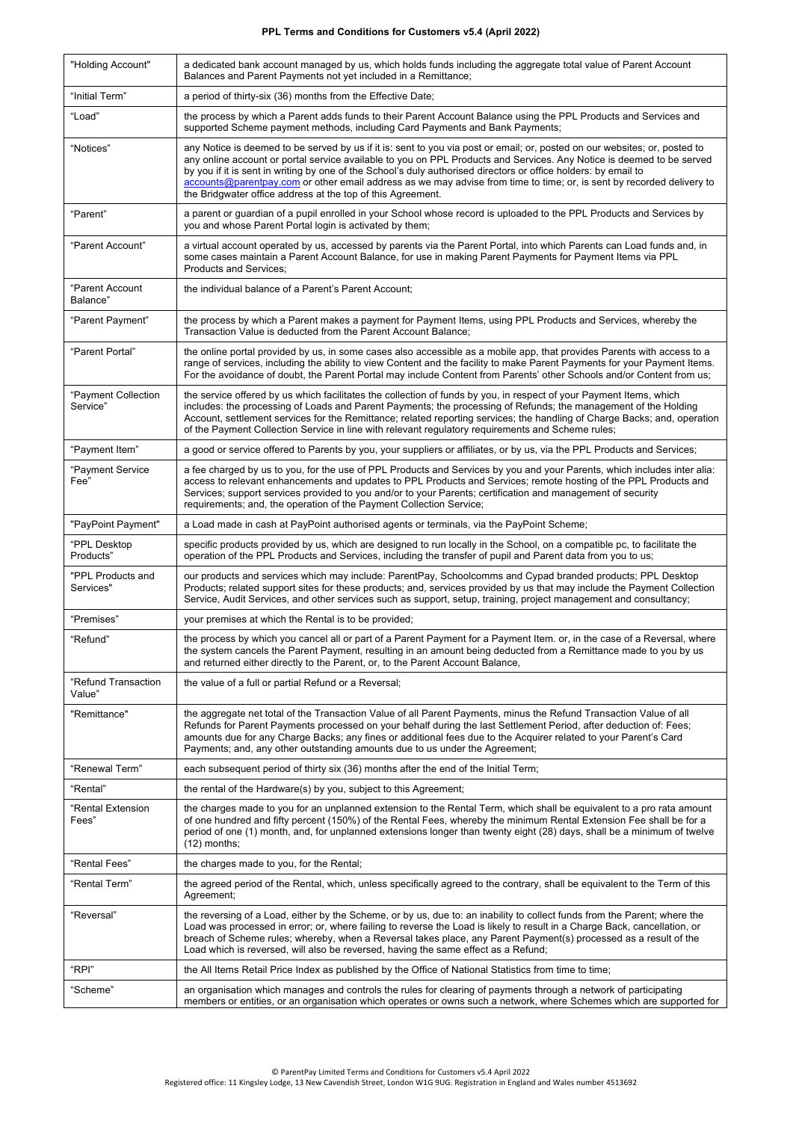| "Holding Account"               | a dedicated bank account managed by us, which holds funds including the aggregate total value of Parent Account<br>Balances and Parent Payments not yet included in a Remittance;                                                                                                                                                                                                                                                                                                                                                                              |  |  |
|---------------------------------|----------------------------------------------------------------------------------------------------------------------------------------------------------------------------------------------------------------------------------------------------------------------------------------------------------------------------------------------------------------------------------------------------------------------------------------------------------------------------------------------------------------------------------------------------------------|--|--|
| "Initial Term"                  | a period of thirty-six (36) months from the Effective Date;                                                                                                                                                                                                                                                                                                                                                                                                                                                                                                    |  |  |
| "Load"                          | the process by which a Parent adds funds to their Parent Account Balance using the PPL Products and Services and<br>supported Scheme payment methods, including Card Payments and Bank Payments;                                                                                                                                                                                                                                                                                                                                                               |  |  |
| "Notices"                       | any Notice is deemed to be served by us if it is: sent to you via post or email; or, posted on our websites; or, posted to<br>any online account or portal service available to you on PPL Products and Services. Any Notice is deemed to be served<br>by you if it is sent in writing by one of the School's duly authorised directors or office holders: by email to<br>accounts@parentpay.com or other email address as we may advise from time to time; or, is sent by recorded delivery to<br>the Bridgwater office address at the top of this Agreement. |  |  |
| "Parent"                        | a parent or guardian of a pupil enrolled in your School whose record is uploaded to the PPL Products and Services by<br>you and whose Parent Portal login is activated by them;                                                                                                                                                                                                                                                                                                                                                                                |  |  |
| "Parent Account"                | a virtual account operated by us, accessed by parents via the Parent Portal, into which Parents can Load funds and, in<br>some cases maintain a Parent Account Balance, for use in making Parent Payments for Payment Items via PPL<br><b>Products and Services:</b>                                                                                                                                                                                                                                                                                           |  |  |
| "Parent Account<br>Balance"     | the individual balance of a Parent's Parent Account;                                                                                                                                                                                                                                                                                                                                                                                                                                                                                                           |  |  |
| "Parent Payment"                | the process by which a Parent makes a payment for Payment Items, using PPL Products and Services, whereby the<br>Transaction Value is deducted from the Parent Account Balance;                                                                                                                                                                                                                                                                                                                                                                                |  |  |
| "Parent Portal"                 | the online portal provided by us, in some cases also accessible as a mobile app, that provides Parents with access to a<br>range of services, including the ability to view Content and the facility to make Parent Payments for your Payment Items.<br>For the avoidance of doubt, the Parent Portal may include Content from Parents' other Schools and/or Content from us;                                                                                                                                                                                  |  |  |
| "Payment Collection<br>Service" | the service offered by us which facilitates the collection of funds by you, in respect of your Payment Items, which<br>includes: the processing of Loads and Parent Payments; the processing of Refunds; the management of the Holding<br>Account, settlement services for the Remittance; related reporting services; the handling of Charge Backs; and, operation<br>of the Payment Collection Service in line with relevant regulatory requirements and Scheme rules;                                                                                       |  |  |
| "Payment Item"                  | a good or service offered to Parents by you, your suppliers or affiliates, or by us, via the PPL Products and Services;                                                                                                                                                                                                                                                                                                                                                                                                                                        |  |  |
| "Payment Service<br>Fee"        | a fee charged by us to you, for the use of PPL Products and Services by you and your Parents, which includes inter alia:<br>access to relevant enhancements and updates to PPL Products and Services; remote hosting of the PPL Products and<br>Services; support services provided to you and/or to your Parents; certification and management of security<br>requirements; and, the operation of the Payment Collection Service;                                                                                                                             |  |  |
| "PayPoint Payment"              | a Load made in cash at PayPoint authorised agents or terminals, via the PayPoint Scheme;                                                                                                                                                                                                                                                                                                                                                                                                                                                                       |  |  |
| "PPL Desktop<br>Products"       | specific products provided by us, which are designed to run locally in the School, on a compatible pc, to facilitate the<br>operation of the PPL Products and Services, including the transfer of pupil and Parent data from you to us;                                                                                                                                                                                                                                                                                                                        |  |  |
| "PPL Products and<br>Services"  | our products and services which may include: ParentPay, Schoolcomms and Cypad branded products; PPL Desktop<br>Products; related support sites for these products; and, services provided by us that may include the Payment Collection<br>Service, Audit Services, and other services such as support, setup, training, project management and consultancy;                                                                                                                                                                                                   |  |  |
| "Premises"                      | your premises at which the Rental is to be provided;                                                                                                                                                                                                                                                                                                                                                                                                                                                                                                           |  |  |
| "Refund"                        | the process by which you cancel all or part of a Parent Payment for a Payment Item. or, in the case of a Reversal, where<br>the system cancels the Parent Payment, resulting in an amount being deducted from a Remittance made to you by us<br>and returned either directly to the Parent, or, to the Parent Account Balance,                                                                                                                                                                                                                                 |  |  |
| "Refund Transaction<br>Value"   | the value of a full or partial Refund or a Reversal;                                                                                                                                                                                                                                                                                                                                                                                                                                                                                                           |  |  |
| "Remittance"                    | the aggregate net total of the Transaction Value of all Parent Payments, minus the Refund Transaction Value of all<br>Refunds for Parent Payments processed on your behalf during the last Settlement Period, after deduction of: Fees;<br>amounts due for any Charge Backs; any fines or additional fees due to the Acquirer related to your Parent's Card<br>Payments; and, any other outstanding amounts due to us under the Agreement;                                                                                                                     |  |  |
| "Renewal Term"                  | each subsequent period of thirty six (36) months after the end of the Initial Term;                                                                                                                                                                                                                                                                                                                                                                                                                                                                            |  |  |
| "Rental"                        | the rental of the Hardware(s) by you, subject to this Agreement;                                                                                                                                                                                                                                                                                                                                                                                                                                                                                               |  |  |
| "Rental Extension<br>Fees"      | the charges made to you for an unplanned extension to the Rental Term, which shall be equivalent to a pro rata amount<br>of one hundred and fifty percent (150%) of the Rental Fees, whereby the minimum Rental Extension Fee shall be for a<br>period of one (1) month, and, for unplanned extensions longer than twenty eight (28) days, shall be a minimum of twelve<br>$(12)$ months;                                                                                                                                                                      |  |  |
| "Rental Fees"                   | the charges made to you, for the Rental;                                                                                                                                                                                                                                                                                                                                                                                                                                                                                                                       |  |  |
| "Rental Term"                   | the agreed period of the Rental, which, unless specifically agreed to the contrary, shall be equivalent to the Term of this<br>Agreement;                                                                                                                                                                                                                                                                                                                                                                                                                      |  |  |
| "Reversal"                      | the reversing of a Load, either by the Scheme, or by us, due to: an inability to collect funds from the Parent; where the<br>Load was processed in error; or, where failing to reverse the Load is likely to result in a Charge Back, cancellation, or<br>breach of Scheme rules; whereby, when a Reversal takes place, any Parent Payment(s) processed as a result of the<br>Load which is reversed, will also be reversed, having the same effect as a Refund;                                                                                               |  |  |
| "RPI"                           | the All Items Retail Price Index as published by the Office of National Statistics from time to time;                                                                                                                                                                                                                                                                                                                                                                                                                                                          |  |  |
| "Scheme"                        | an organisation which manages and controls the rules for clearing of payments through a network of participating<br>members or entities, or an organisation which operates or owns such a network, where Schemes which are supported for                                                                                                                                                                                                                                                                                                                       |  |  |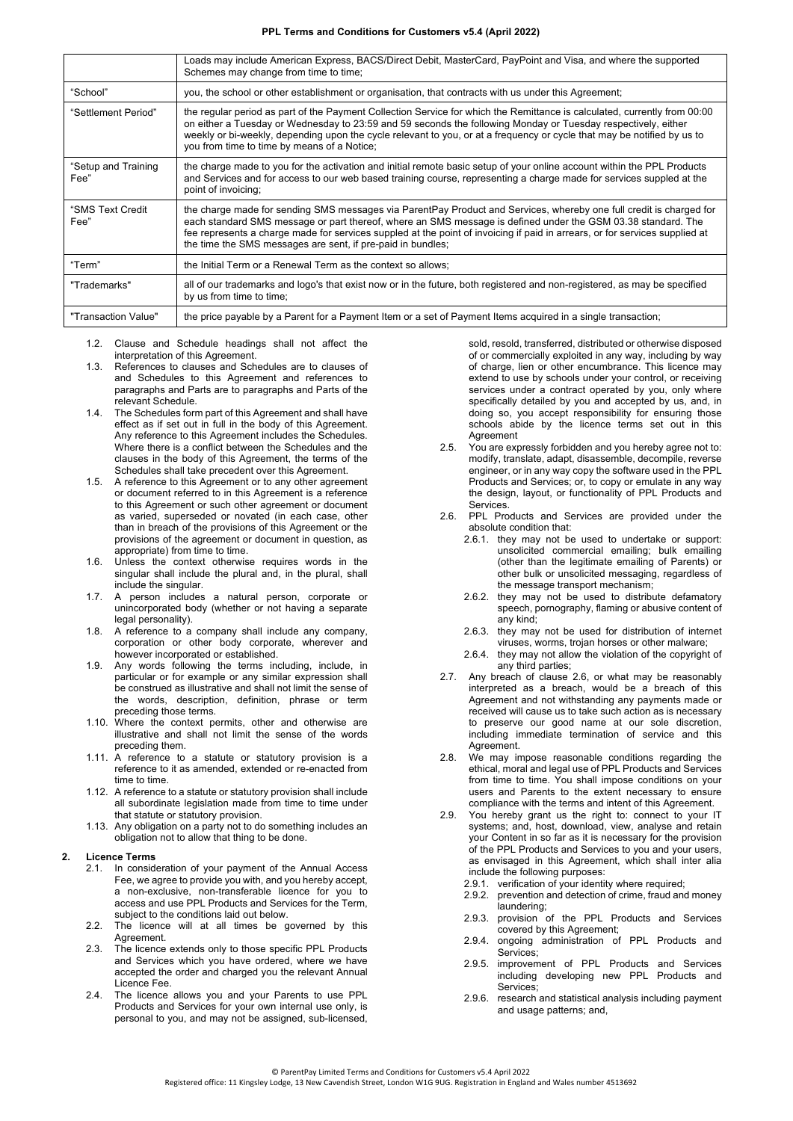|                             | Loads may include American Express, BACS/Direct Debit, MasterCard, PayPoint and Visa, and where the supported<br>Schemes may change from time to time;                                                                                                                                                                                                                                                                            |  |  |
|-----------------------------|-----------------------------------------------------------------------------------------------------------------------------------------------------------------------------------------------------------------------------------------------------------------------------------------------------------------------------------------------------------------------------------------------------------------------------------|--|--|
| "School"                    | you, the school or other establishment or organisation, that contracts with us under this Agreement;                                                                                                                                                                                                                                                                                                                              |  |  |
| "Settlement Period"         | the regular period as part of the Payment Collection Service for which the Remittance is calculated, currently from 00:00<br>on either a Tuesday or Wednesday to 23:59 and 59 seconds the following Monday or Tuesday respectively, either<br>weekly or bi-weekly, depending upon the cycle relevant to you, or at a frequency or cycle that may be notified by us to<br>you from time to time by means of a Notice;              |  |  |
| "Setup and Training<br>Fee" | the charge made to you for the activation and initial remote basic setup of your online account within the PPL Products<br>and Services and for access to our web based training course, representing a charge made for services suppled at the<br>point of invoicing;                                                                                                                                                            |  |  |
| "SMS Text Credit<br>Fee"    | the charge made for sending SMS messages via ParentPay Product and Services, whereby one full credit is charged for<br>each standard SMS message or part thereof, where an SMS message is defined under the GSM 03.38 standard. The<br>fee represents a charge made for services suppled at the point of invoicing if paid in arrears, or for services supplied at<br>the time the SMS messages are sent, if pre-paid in bundles; |  |  |
| "Term"                      | the Initial Term or a Renewal Term as the context so allows;                                                                                                                                                                                                                                                                                                                                                                      |  |  |
| "Trademarks"                | all of our trademarks and logo's that exist now or in the future, both registered and non-registered, as may be specified<br>by us from time to time;                                                                                                                                                                                                                                                                             |  |  |
| "Transaction Value"         | the price payable by a Parent for a Payment Item or a set of Payment Items acquired in a single transaction;                                                                                                                                                                                                                                                                                                                      |  |  |

- 1.2. Clause and Schedule headings shall not affect the interpretation of this Agreement.
- 1.3. References to clauses and Schedules are to clauses of and Schedules to this Agreement and references to paragraphs and Parts are to paragraphs and Parts of the relevant Schedule.
- 1.4. The Schedules form part of this Agreement and shall have effect as if set out in full in the body of this Agreement. Any reference to this Agreement includes the Schedules. Where there is a conflict between the Schedules and the clauses in the body of this Agreement, the terms of the Schedules shall take precedent over this Agreement.
- 1.5. A reference to this Agreement or to any other agreement or document referred to in this Agreement is a reference to this Agreement or such other agreement or document as varied, superseded or novated (in each case, other than in breach of the provisions of this Agreement or the provisions of the agreement or document in question, as appropriate) from time to time.
- 1.6. Unless the context otherwise requires words in the singular shall include the plural and, in the plural, shall include the singular.
- 1.7. A person includes a natural person, corporate or unincorporated body (whether or not having a separate legal personality).
- 1.8. A reference to a company shall include any company, corporation or other body corporate, wherever and however incorporated or established.
- 1.9. Any words following the terms including, include, in particular or for example or any similar expression shall be construed as illustrative and shall not limit the sense of the words, description, definition, phrase or term preceding those terms.
- 1.10. Where the context permits, other and otherwise are illustrative and shall not limit the sense of the words preceding them.
- 1.11. A reference to a statute or statutory provision is a reference to it as amended, extended or re-enacted from time to time.
- 1.12. A reference to a statute or statutory provision shall include all subordinate legislation made from time to time under that statute or statutory provision.
- 1.13. Any obligation on a party not to do something includes an obligation not to allow that thing to be done.

# **2. Licence Terms**

- 2.1. In consideration of your payment of the Annual Access Fee, we agree to provide you with, and you hereby accept, a non-exclusive, non-transferable licence for you to access and use PPL Products and Services for the Term, subject to the conditions laid out below.
- 2.2. The licence will at all times be governed by this Agreement.
- 2.3. The licence extends only to those specific PPL Products and Services which you have ordered, where we have accepted the order and charged you the relevant Annual Licence Fee.
- 2.4. The licence allows you and your Parents to use PPL Products and Services for your own internal use only, is personal to you, and may not be assigned, sub-licensed,

sold, resold, transferred, distributed or otherwise disposed of or commercially exploited in any way, including by way of charge, lien or other encumbrance. This licence may extend to use by schools under your control, or receiving services under a contract operated by you, only where specifically detailed by you and accepted by us, and, in doing so, you accept responsibility for ensuring those schools abide by the licence terms set out in this Agreement

- 2.5. You are expressly forbidden and you hereby agree not to: modify, translate, adapt, disassemble, decompile, reverse engineer, or in any way copy the software used in the PPL Products and Services; or, to copy or emulate in any way the design, layout, or functionality of PPL Products and Services.
- 2.6. PPL Products and Services are provided under the absolute condition that:
	- 2.6.1. they may not be used to undertake or support: unsolicited commercial emailing; bulk emailing (other than the legitimate emailing of Parents) or other bulk or unsolicited messaging, regardless of the message transport mechanism;
	- 2.6.2. they may not be used to distribute defamatory speech, pornography, flaming or abusive content of any kind;
	- 2.6.3. they may not be used for distribution of internet viruses, worms, trojan horses or other malware;
	- 2.6.4. they may not allow the violation of the copyright of any third parties;
- 2.7. Any breach of clause 2.6, or what may be reasonably interpreted as a breach, would be a breach of this Agreement and not withstanding any payments made or received will cause us to take such action as is necessary to preserve our good name at our sole discretion, including immediate termination of service and this Agreement.
- 2.8. We may impose reasonable conditions regarding the ethical, moral and legal use of PPL Products and Services from time to time. You shall impose conditions on your users and Parents to the extent necessary to ensure compliance with the terms and intent of this Agreement.
- 2.9. You hereby grant us the right to: connect to your IT systems; and, host, download, view, analyse and retain your Content in so far as it is necessary for the provision of the PPL Products and Services to you and your users, as envisaged in this Agreement, which shall inter alia include the following purposes:
	- 2.9.1. verification of your identity where required;
	- 2.9.2. prevention and detection of crime, fraud and money laundering;
	- 2.9.3. provision of the PPL Products and Services covered by this Agreement;
	- 2.9.4. ongoing administration of PPL Products and Services;
	- 2.9.5. improvement of PPL Products and Services including developing new PPL Products and Services;
	- 2.9.6. research and statistical analysis including payment and usage patterns; and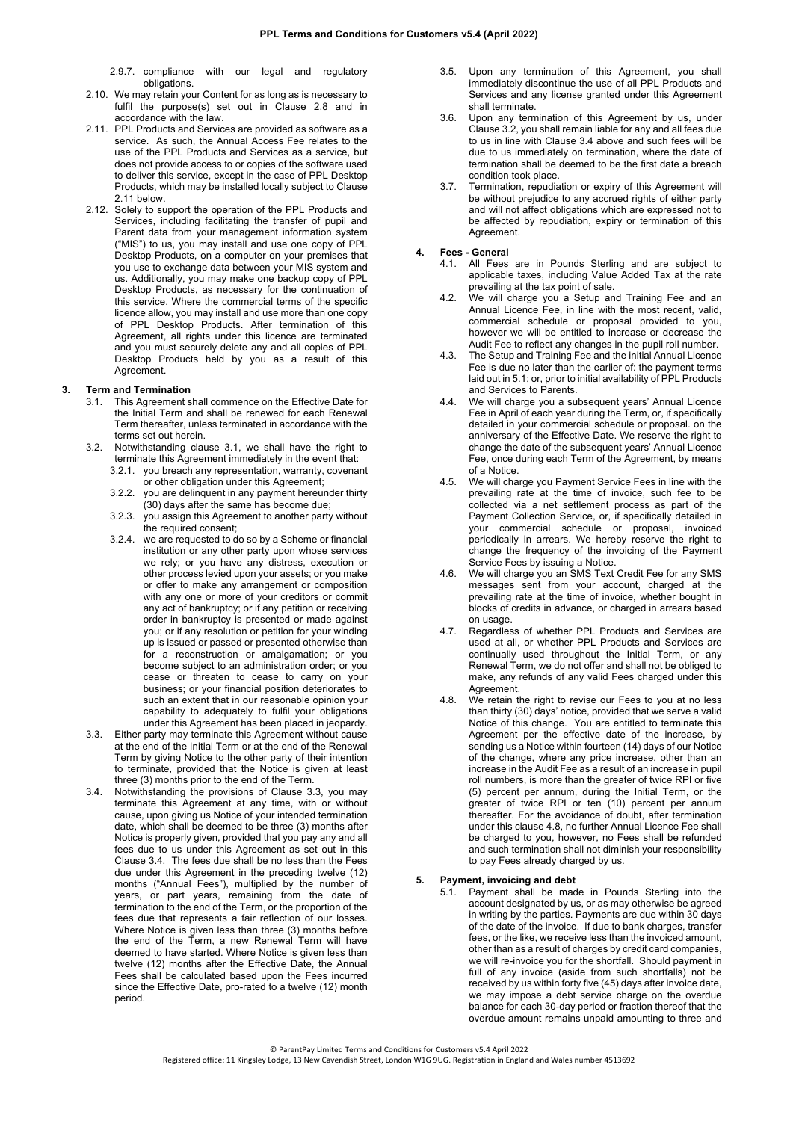- 2.9.7. compliance with our legal and regulatory obligations.
- 2.10. We may retain your Content for as long as is necessary to fulfil the purpose(s) set out in Clause 2.8 and in accordance with the law.
- 2.11. PPL Products and Services are provided as software as a service. As such, the Annual Access Fee relates to the use of the PPL Products and Services as a service, but does not provide access to or copies of the software used to deliver this service, except in the case of PPL Desktop Products, which may be installed locally subject to Clause 2.11 below.
- 2.12. Solely to support the operation of the PPL Products and Services, including facilitating the transfer of pupil and Parent data from your management information system ("MIS") to us, you may install and use one copy of PPL Desktop Products, on a computer on your premises that you use to exchange data between your MIS system and us. Additionally, you may make one backup copy of PPL Desktop Products, as necessary for the continuation of this service. Where the commercial terms of the specific licence allow, you may install and use more than one copy of PPL Desktop Products. After termination of this Agreement, all rights under this licence are terminated and you must securely delete any and all copies of PPL Desktop Products held by you as a result of this Agreement.

#### **3. Term and Termination**

- 3.1. This Agreement shall commence on the Effective Date for the Initial Term and shall be renewed for each Renewal Term thereafter, unless terminated in accordance with the terms set out herein.
- 3.2. Notwithstanding clause 3.1, we shall have the right to terminate this Agreement immediately in the event that: 3.2.1. you breach any representation, warranty, covenant
	- or other obligation under this Agreement;
	- 3.2.2. you are delinquent in any payment hereunder thirty (30) days after the same has become due;
	- 3.2.3. you assign this Agreement to another party without the required consent;
	- 3.2.4. we are requested to do so by a Scheme or financial institution or any other party upon whose services we rely; or you have any distress, execution or other process levied upon your assets; or you make or offer to make any arrangement or composition with any one or more of your creditors or commit any act of bankruptcy; or if any petition or receiving order in bankruptcy is presented or made against you; or if any resolution or petition for your winding up is issued or passed or presented otherwise than for a reconstruction or amalgamation; or you become subject to an administration order; or you cease or threaten to cease to carry on your business; or your financial position deteriorates to such an extent that in our reasonable opinion your capability to adequately to fulfil your obligations under this Agreement has been placed in jeopardy.
- 3.3. Either party may terminate this Agreement without cause at the end of the Initial Term or at the end of the Renewal Term by giving Notice to the other party of their intention to terminate, provided that the Notice is given at least three (3) months prior to the end of the Term.
- 3.4. Notwithstanding the provisions of Clause 3.3, you may terminate this Agreement at any time, with or without cause, upon giving us Notice of your intended termination date, which shall be deemed to be three (3) months after Notice is properly given, provided that you pay any and all fees due to us under this Agreement as set out in this Clause 3.4. The fees due shall be no less than the Fees due under this Agreement in the preceding twelve (12) months ("Annual Fees"), multiplied by the number of years, or part years, remaining from the date of termination to the end of the Term, or the proportion of the fees due that represents a fair reflection of our losses. Where Notice is given less than three (3) months before the end of the Term, a new Renewal Term will have deemed to have started. Where Notice is given less than twelve (12) months after the Effective Date, the Annual Fees shall be calculated based upon the Fees incurred since the Effective Date, pro-rated to a twelve (12) month period.
- 3.5. Upon any termination of this Agreement, you shall immediately discontinue the use of all PPL Products and Services and any license granted under this Agreement shall terminate.
- 3.6. Upon any termination of this Agreement by us, under Clause 3.2, you shall remain liable for any and all fees due to us in line with Clause 3.4 above and such fees will be due to us immediately on termination, where the date of termination shall be deemed to be the first date a breach condition took place.
- 3.7. Termination, repudiation or expiry of this Agreement will be without prejudice to any accrued rights of either party and will not affect obligations which are expressed not to be affected by repudiation, expiry or termination of this Agreement.

# **4. Fees - General**

- 4.1. All Fees are in Pounds Sterling and are subject to applicable taxes, including Value Added Tax at the rate prevailing at the tax point of sale.
- 4.2. We will charge you a Setup and Training Fee and an Annual Licence Fee, in line with the most recent, valid, commercial schedule or proposal provided to you, however we will be entitled to increase or decrease the Audit Fee to reflect any changes in the pupil roll number.
- 4.3. The Setup and Training Fee and the initial Annual Licence Fee is due no later than the earlier of: the payment terms laid out in 5.1; or, prior to initial availability of PPL Products and Services to Parents.
- 4.4. We will charge you a subsequent years' Annual Licence Fee in April of each year during the Term, or, if specifically detailed in your commercial schedule or proposal. on the anniversary of the Effective Date. We reserve the right to change the date of the subsequent years' Annual Licence Fee, once during each Term of the Agreement, by means of a Notice.
- 4.5. We will charge you Payment Service Fees in line with the prevailing rate at the time of invoice, such fee to be collected via a net settlement process as part of the Payment Collection Service, or, if specifically detailed in your commercial schedule or proposal, invoiced periodically in arrears. We hereby reserve the right to change the frequency of the invoicing of the Payment Service Fees by issuing a Notice.
- 4.6. We will charge you an SMS Text Credit Fee for any SMS messages sent from your account, charged at the prevailing rate at the time of invoice, whether bought in blocks of credits in advance, or charged in arrears based on usage.
- 4.7. Regardless of whether PPL Products and Services are used at all, or whether PPL Products and Services are continually used throughout the Initial Term, or any Renewal Term, we do not offer and shall not be obliged to make, any refunds of any valid Fees charged under this **Agreement**
- 4.8. We retain the right to revise our Fees to you at no less than thirty (30) days' notice, provided that we serve a valid Notice of this change. You are entitled to terminate this Agreement per the effective date of the increase, by sending us a Notice within fourteen (14) days of our Notice of the change, where any price increase, other than an increase in the Audit Fee as a result of an increase in pupil roll numbers, is more than the greater of twice RPI or five (5) percent per annum, during the Initial Term, or the greater of twice RPI or ten (10) percent per annum thereafter. For the avoidance of doubt, after termination under this clause 4.8, no further Annual Licence Fee shall be charged to you, however, no Fees shall be refunded and such termination shall not diminish your responsibility to pay Fees already charged by us.

## **5. Payment, invoicing and debt**

5.1. Payment shall be made in Pounds Sterling into the account designated by us, or as may otherwise be agreed in writing by the parties. Payments are due within 30 days of the date of the invoice. If due to bank charges, transfer fees, or the like, we receive less than the invoiced amount, other than as a result of charges by credit card companies, we will re-invoice you for the shortfall. Should payment in full of any invoice (aside from such shortfalls) not be received by us within forty five (45) days after invoice date, we may impose a debt service charge on the overdue balance for each 30-day period or fraction thereof that the overdue amount remains unpaid amounting to three and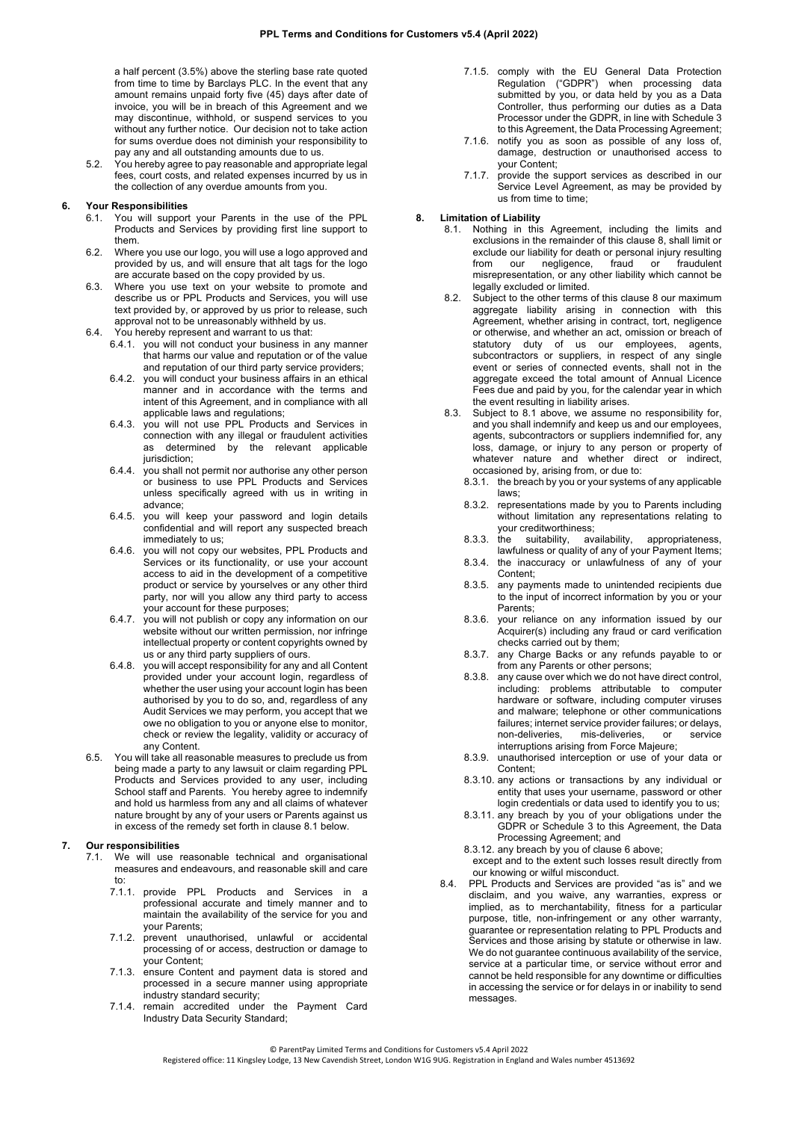a half percent (3.5%) above the sterling base rate quoted from time to time by Barclays PLC. In the event that any amount remains unpaid forty five (45) days after date of invoice, you will be in breach of this Agreement and we may discontinue, withhold, or suspend services to you without any further notice. Our decision not to take action for sums overdue does not diminish your responsibility to pay any and all outstanding amounts due to us.

5.2. You hereby agree to pay reasonable and appropriate legal fees, court costs, and related expenses incurred by us in the collection of any overdue amounts from you.

#### **6. Your Responsibilities**

- 6.1. You will support your Parents in the use of the PPL Products and Services by providing first line support to them.
- 6.2. Where you use our logo, you will use a logo approved and provided by us, and will ensure that alt tags for the logo are accurate based on the copy provided by us.
- 6.3. Where you use text on your website to promote and describe us or PPL Products and Services, you will use text provided by, or approved by us prior to release, such approval not to be unreasonably withheld by us.
- 6.4. You hereby represent and warrant to us that:
	- 6.4.1. you will not conduct your business in any manner that harms our value and reputation or of the value and reputation of our third party service providers;
	- 6.4.2. you will conduct your business affairs in an ethical manner and in accordance with the terms and intent of this Agreement, and in compliance with all applicable laws and regulations;
	- 6.4.3. you will not use PPL Products and Services in connection with any illegal or fraudulent activities determined by the relevant applicable jurisdiction;
	- 6.4.4. you shall not permit nor authorise any other person or business to use PPL Products and Services unless specifically agreed with us in writing in advance;
	- 6.4.5. you will keep your password and login details confidential and will report any suspected breach immediately to us;
	- 6.4.6. you will not copy our websites, PPL Products and Services or its functionality, or use your account access to aid in the development of a competitive product or service by yourselves or any other third party, nor will you allow any third party to access your account for these purposes;
	- 6.4.7. you will not publish or copy any information on our website without our written permission, nor infringe intellectual property or content copyrights owned by us or any third party suppliers of ours.
	- 6.4.8. you will accept responsibility for any and all Content provided under your account login, regardless of whether the user using your account login has been authorised by you to do so, and, regardless of any Audit Services we may perform, you accept that we owe no obligation to you or anyone else to monitor, check or review the legality, validity or accuracy of any Content.
- 6.5. You will take all reasonable measures to preclude us from being made a party to any lawsuit or claim regarding PPL Products and Services provided to any user, including School staff and Parents. You hereby agree to indemnify and hold us harmless from any and all claims of whatever nature brought by any of your users or Parents against us in excess of the remedy set forth in clause 8.1 below.

#### **7. Our responsibilities**

- 7.1. We will use reasonable technical and organisational measures and endeavours, and reasonable skill and care to:
	- 7.1.1. provide PPL Products and Services in a professional accurate and timely manner and to maintain the availability of the service for you and your Parents;
	- 7.1.2. prevent unauthorised, unlawful or accidental processing of or access, destruction or damage to your Content;
	- 7.1.3. ensure Content and payment data is stored and processed in a secure manner using appropriate industry standard security;
	- 7.1.4. remain accredited under the Payment Card Industry Data Security Standard;
- 7.1.5. comply with the EU General Data Protection Regulation ("GDPR") when processing data submitted by you, or data held by you as a Data Controller, thus performing our duties as a Data Processor under the GDPR, in line with Schedule 3 to this Agreement, the Data Processing Agreement;
- 7.1.6. notify you as soon as possible of any loss of, damage, destruction or unauthorised access to your Content;
- 7.1.7. provide the support services as described in our Service Level Agreement, as may be provided by us from time to time;

# **8. Limitation of Liability**

- 8.1. Nothing in this Agreement, including the limits and exclusions in the remainder of this clause 8, shall limit or exclude our liability for death or personal injury resulting from our negligence, fraud or fraudulent misrepresentation, or any other liability which cannot be legally excluded or limited.
- 8.2. Subject to the other terms of this clause 8 our maximum aggregate liability arising in connection with this Agreement, whether arising in contract, tort, negligence or otherwise, and whether an act, omission or breach of statutory duty of us our employees, agents, subcontractors or suppliers, in respect of any single event or series of connected events, shall not in the aggregate exceed the total amount of Annual Licence Fees due and paid by you, for the calendar year in which the event resulting in liability arises.
- 8.3. Subject to 8.1 above, we assume no responsibility for, and you shall indemnify and keep us and our employees, agents, subcontractors or suppliers indemnified for, any loss, damage, or injury to any person or property of whatever nature and whether direct or indirect, occasioned by, arising from, or due to:
	- 8.3.1. the breach by you or your systems of any applicable laws;
	- 8.3.2. representations made by you to Parents including without limitation any representations relating to your creditworthiness;<br>the suitability, availability,
	- 8.3.3. the suitability, availability, appropriateness, lawfulness or quality of any of your Payment Items;
	- 8.3.4. the inaccuracy or unlawfulness of any of your Content;
	- 8.3.5. any payments made to unintended recipients due to the input of incorrect information by you or your Parents;
	- 8.3.6. your reliance on any information issued by our Acquirer(s) including any fraud or card verification checks carried out by them;
	- 8.3.7. any Charge Backs or any refunds payable to or from any Parents or other persons;
	- 8.3.8. any cause over which we do not have direct control, including: problems attributable to computer hardware or software, including computer viruses and malware; telephone or other communications failures; internet service provider failures; or delays, non-deliveries, mis-deliveries, or service interruptions arising from Force Majeure;
	- 8.3.9. unauthorised interception or use of your data or Content;
	- 8.3.10. any actions or transactions by any individual or entity that uses your username, password or other login credentials or data used to identify you to us;
	- 8.3.11. any breach by you of your obligations under the GDPR or Schedule 3 to this Agreement, the Data Processing Agreement; and
	- 8.3.12. any breach by you of clause 6 above;
	- except and to the extent such losses result directly from our knowing or wilful misconduct.
- 8.4. PPL Products and Services are provided "as is" and we disclaim, and you waive, any warranties, express or implied, as to merchantability, fitness for a particular purpose, title, non-infringement or any other warranty, guarantee or representation relating to PPL Products and Services and those arising by statute or otherwise in law. We do not guarantee continuous availability of the service, service at a particular time, or service without error and cannot be held responsible for any downtime or difficulties in accessing the service or for delays in or inability to send messages.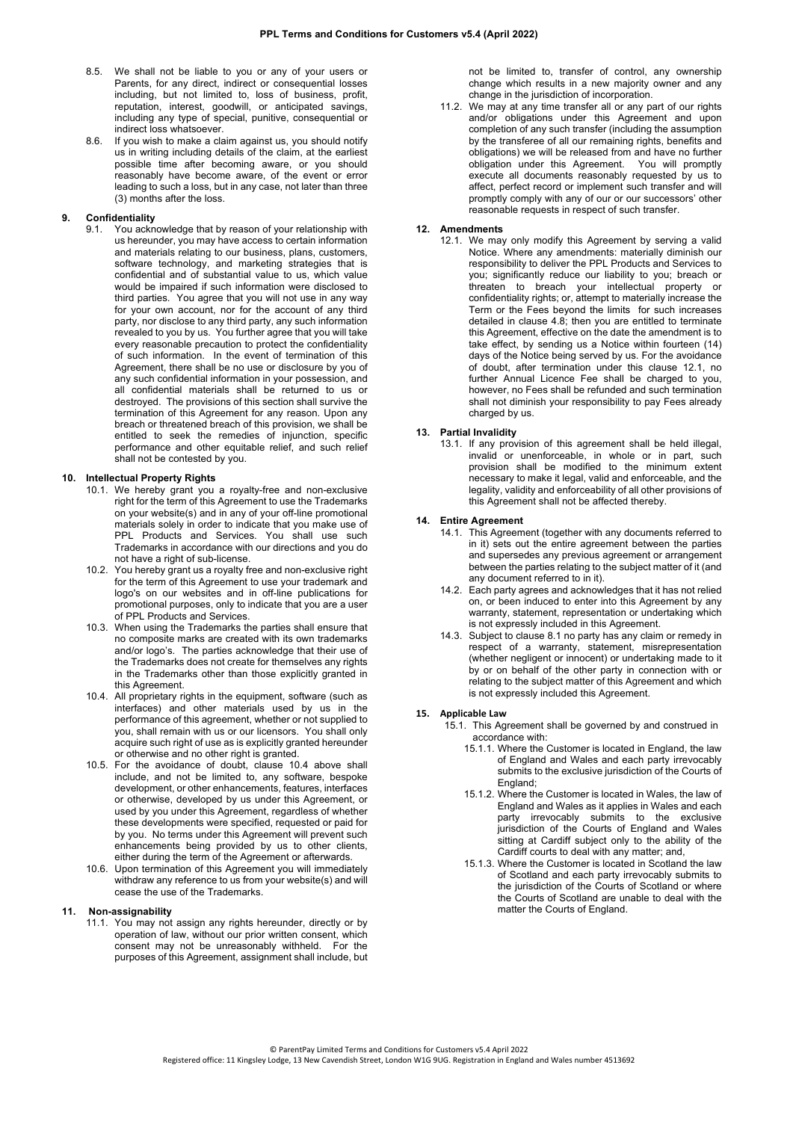- 8.5. We shall not be liable to you or any of your users or Parents, for any direct, indirect or consequential losses including, but not limited to, loss of business, profit, reputation, interest, goodwill, or anticipated savings, including any type of special, punitive, consequential or indirect loss whatsoever.
- 8.6. If you wish to make a claim against us, you should notify us in writing including details of the claim, at the earliest possible time after becoming aware, or you should reasonably have become aware, of the event or error leading to such a loss, but in any case, not later than three (3) months after the loss.

#### **9. Confidentiality**

9.1. You acknowledge that by reason of your relationship with us hereunder, you may have access to certain information and materials relating to our business, plans, customers, software technology, and marketing strategies that is confidential and of substantial value to us, which value would be impaired if such information were disclosed to third parties. You agree that you will not use in any way for your own account, nor for the account of any third party, nor disclose to any third party, any such information revealed to you by us. You further agree that you will take every reasonable precaution to protect the confidentiality of such information. In the event of termination of this Agreement, there shall be no use or disclosure by you of any such confidential information in your possession, and all confidential materials shall be returned to us or destroyed. The provisions of this section shall survive the termination of this Agreement for any reason. Upon any breach or threatened breach of this provision, we shall be entitled to seek the remedies of injunction, specific performance and other equitable relief, and such relief shall not be contested by you.

#### **10. Intellectual Property Rights**

- 10.1. We hereby grant you a royalty-free and non-exclusive right for the term of this Agreement to use the Trademarks on your website(s) and in any of your off-line promotional materials solely in order to indicate that you make use of PPL Products and Services. You shall use such Trademarks in accordance with our directions and you do not have a right of sub-license.
- 10.2. You hereby grant us a royalty free and non-exclusive right for the term of this Agreement to use your trademark and logo's on our websites and in off-line publications for promotional purposes, only to indicate that you are a user of PPL Products and Services.
- 10.3. When using the Trademarks the parties shall ensure that no composite marks are created with its own trademarks and/or logo's. The parties acknowledge that their use of the Trademarks does not create for themselves any rights in the Trademarks other than those explicitly granted in this Agreement.
- 10.4. All proprietary rights in the equipment, software (such as interfaces) and other materials used by us in the performance of this agreement, whether or not supplied to you, shall remain with us or our licensors. You shall only acquire such right of use as is explicitly granted hereunder or otherwise and no other right is granted.
- 10.5. For the avoidance of doubt, clause 10.4 above shall include, and not be limited to, any software, bespoke development, or other enhancements, features, interfaces or otherwise, developed by us under this Agreement, or used by you under this Agreement, regardless of whether these developments were specified, requested or paid for by you. No terms under this Agreement will prevent such enhancements being provided by us to other clients, either during the term of the Agreement or afterwards.
- 10.6. Upon termination of this Agreement you will immediately withdraw any reference to us from your website(s) and will cease the use of the Trademarks.

# **11. Non-assignability**

11.1. You may not assign any rights hereunder, directly or by operation of law, without our prior written consent, which consent may not be unreasonably withheld. For the purposes of this Agreement, assignment shall include, but not be limited to, transfer of control, any ownership change which results in a new majority owner and any change in the jurisdiction of incorporation.

11.2. We may at any time transfer all or any part of our rights and/or obligations under this Agreement and upon completion of any such transfer (including the assumption by the transferee of all our remaining rights, benefits and obligations) we will be released from and have no further obligation under this Agreement. You will promptly execute all documents reasonably requested by us to affect, perfect record or implement such transfer and will promptly comply with any of our or our successors' other reasonable requests in respect of such transfer.

# **12. Amendments**

12.1. We may only modify this Agreement by serving a valid Notice. Where any amendments: materially diminish our responsibility to deliver the PPL Products and Services to you; significantly reduce our liability to you; breach or threaten to breach your intellectual property or confidentiality rights; or, attempt to materially increase the Term or the Fees beyond the limits for such increases detailed in clause 4.8; then you are entitled to terminate this Agreement, effective on the date the amendment is to take effect, by sending us a Notice within fourteen (14) days of the Notice being served by us. For the avoidance of doubt, after termination under this clause 12.1, no further Annual Licence Fee shall be charged to you, however, no Fees shall be refunded and such termination shall not diminish your responsibility to pay Fees already charged by us.

## **13. Partial Invalidity**

13.1. If any provision of this agreement shall be held illegal, invalid or unenforceable, in whole or in part, such provision shall be modified to the minimum extent necessary to make it legal, valid and enforceable, and the legality, validity and enforceability of all other provisions of this Agreement shall not be affected thereby.

# **14. Entire Agreement**

- 14.1. This Agreement (together with any documents referred to in it) sets out the entire agreement between the parties and supersedes any previous agreement or arrangement between the parties relating to the subject matter of it (and any document referred to in it).
- 14.2. Each party agrees and acknowledges that it has not relied on, or been induced to enter into this Agreement by any warranty, statement, representation or undertaking which is not expressly included in this Agreement.
- 14.3. Subject to clause 8.1 no party has any claim or remedy in respect of a warranty, statement, misrepresentation (whether negligent or innocent) or undertaking made to it by or on behalf of the other party in connection with or relating to the subject matter of this Agreement and which is not expressly included this Agreement.

#### **15. Applicable Law**

- 15.1. This Agreement shall be governed by and construed in accordance with:
	- 15.1.1. Where the Customer is located in England, the law of England and Wales and each party irrevocably submits to the exclusive jurisdiction of the Courts of England;
	- 15.1.2. Where the Customer is located in Wales, the law of England and Wales as it applies in Wales and each party irrevocably submits to the exclusive jurisdiction of the Courts of England and Wales sitting at Cardiff subject only to the ability of the Cardiff courts to deal with any matter; and,
	- 15.1.3. Where the Customer is located in Scotland the law of Scotland and each party irrevocably submits to the jurisdiction of the Courts of Scotland or where the Courts of Scotland are unable to deal with the matter the Courts of England.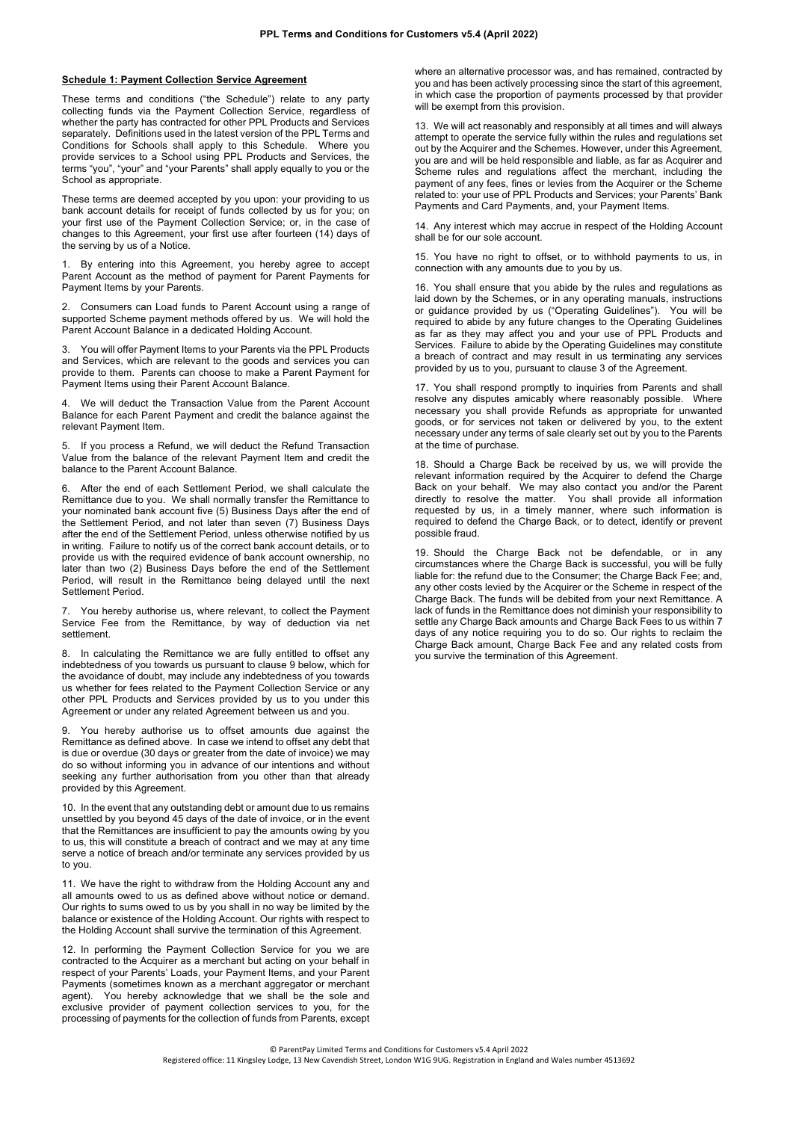#### **Schedule 1: Payment Collection Service Agreement**

These terms and conditions ("the Schedule") relate to any party collecting funds via the Payment Collection Service, regardless of whether the party has contracted for other PPL Products and Services separately. Definitions used in the latest version of the PPL Terms and Conditions for Schools shall apply to this Schedule. Where you provide services to a School using PPL Products and Services, the terms "you", "your" and "your Parents" shall apply equally to you or the School as appropriate.

These terms are deemed accepted by you upon: your providing to us bank account details for receipt of funds collected by us for you; on your first use of the Payment Collection Service; or, in the case of changes to this Agreement, your first use after fourteen (14) days of the serving by us of a Notice.

By entering into this Agreement, you hereby agree to accept Parent Account as the method of payment for Parent Payments for Payment Items by your Parents.

2. Consumers can Load funds to Parent Account using a range of supported Scheme payment methods offered by us. We will hold the Parent Account Balance in a dedicated Holding Account.

You will offer Payment Items to your Parents via the PPL Products and Services, which are relevant to the goods and services you can provide to them. Parents can choose to make a Parent Payment for Payment Items using their Parent Account Balance.

We will deduct the Transaction Value from the Parent Account Balance for each Parent Payment and credit the balance against the relevant Payment Item.

5. If you process a Refund, we will deduct the Refund Transaction Value from the balance of the relevant Payment Item and credit the balance to the Parent Account Balance.

After the end of each Settlement Period, we shall calculate the Remittance due to you. We shall normally transfer the Remittance to your nominated bank account five (5) Business Days after the end of the Settlement Period, and not later than seven (7) Business Days after the end of the Settlement Period, unless otherwise notified by us in writing. Failure to notify us of the correct bank account details, or to provide us with the required evidence of bank account ownership, no later than two (2) Business Days before the end of the Settlement Period, will result in the Remittance being delayed until the next Settlement Period.

You hereby authorise us, where relevant, to collect the Payment Service Fee from the Remittance, by way of deduction via net settlement.

In calculating the Remittance we are fully entitled to offset any indebtedness of you towards us pursuant to clause 9 below, which for the avoidance of doubt, may include any indebtedness of you towards us whether for fees related to the Payment Collection Service or any other PPL Products and Services provided by us to you under this Agreement or under any related Agreement between us and you.

9. You hereby authorise us to offset amounts due against the Remittance as defined above. In case we intend to offset any debt that is due or overdue (30 days or greater from the date of invoice) we may do so without informing you in advance of our intentions and without seeking any further authorisation from you other than that already provided by this Agreement.

10. In the event that any outstanding debt or amount due to us remains unsettled by you beyond 45 days of the date of invoice, or in the event that the Remittances are insufficient to pay the amounts owing by you to us, this will constitute a breach of contract and we may at any time serve a notice of breach and/or terminate any services provided by us to you.

11. We have the right to withdraw from the Holding Account any and all amounts owed to us as defined above without notice or demand. Our rights to sums owed to us by you shall in no way be limited by the balance or existence of the Holding Account. Our rights with respect to the Holding Account shall survive the termination of this Agreement.

12. In performing the Payment Collection Service for you we are contracted to the Acquirer as a merchant but acting on your behalf in respect of your Parents' Loads, your Payment Items, and your Parent Payments (sometimes known as a merchant aggregator or merchant agent). You hereby acknowledge that we shall be the sole and exclusive provider of payment collection services to you, for the processing of payments for the collection of funds from Parents, except

where an alternative processor was, and has remained, contracted by you and has been actively processing since the start of this agreement, in which case the proportion of payments processed by that provider will be exempt from this provision.

13. We will act reasonably and responsibly at all times and will always attempt to operate the service fully within the rules and regulations set out by the Acquirer and the Schemes. However, under this Agreement, you are and will be held responsible and liable, as far as Acquirer and Scheme rules and regulations affect the merchant, including the payment of any fees, fines or levies from the Acquirer or the Scheme related to: your use of PPL Products and Services; your Parents' Bank Payments and Card Payments, and, your Payment Items.

14. Any interest which may accrue in respect of the Holding Account shall be for our sole account.

15. You have no right to offset, or to withhold payments to us, in connection with any amounts due to you by us.

16. You shall ensure that you abide by the rules and regulations as laid down by the Schemes, or in any operating manuals, instructions or guidance provided by us ("Operating Guidelines"). You will be required to abide by any future changes to the Operating Guidelines as far as they may affect you and your use of PPL Products and Services. Failure to abide by the Operating Guidelines may constitute a breach of contract and may result in us terminating any services provided by us to you, pursuant to clause 3 of the Agreement.

17. You shall respond promptly to inquiries from Parents and shall resolve any disputes amicably where reasonably possible. Where necessary you shall provide Refunds as appropriate for unwanted goods, or for services not taken or delivered by you, to the extent necessary under any terms of sale clearly set out by you to the Parents at the time of purchase.

18. Should a Charge Back be received by us, we will provide the relevant information required by the Acquirer to defend the Charge Back on your behalf. We may also contact you and/or the Parent directly to resolve the matter. You shall provide all information requested by us, in a timely manner, where such information is required to defend the Charge Back, or to detect, identify or prevent possible fraud.

19. Should the Charge Back not be defendable, or in any circumstances where the Charge Back is successful, you will be fully liable for: the refund due to the Consumer; the Charge Back Fee; and, any other costs levied by the Acquirer or the Scheme in respect of the Charge Back. The funds will be debited from your next Remittance. A lack of funds in the Remittance does not diminish your responsibility to settle any Charge Back amounts and Charge Back Fees to us within 7 days of any notice requiring you to do so. Our rights to reclaim the Charge Back amount, Charge Back Fee and any related costs from you survive the termination of this Agreement.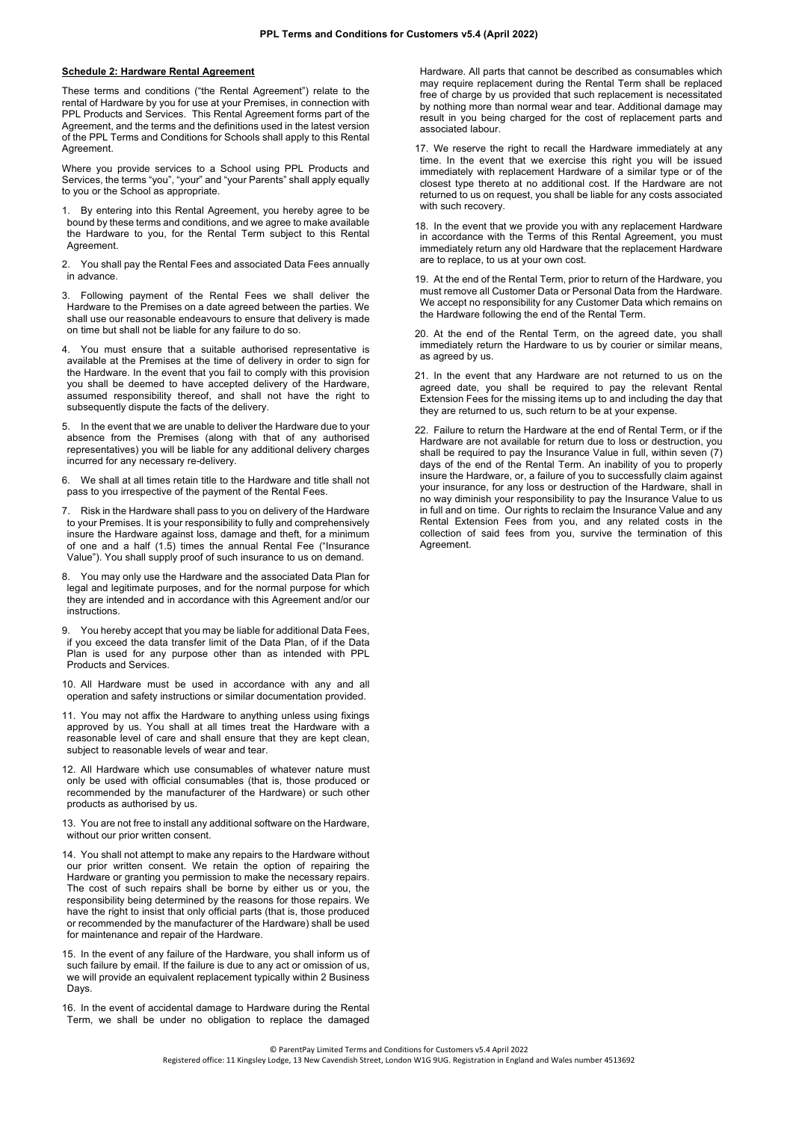#### **Schedule 2: Hardware Rental Agreement**

These terms and conditions ("the Rental Agreement") relate to the rental of Hardware by you for use at your Premises, in connection with PPL Products and Services. This Rental Agreement forms part of the Agreement, and the terms and the definitions used in the latest version of the PPL Terms and Conditions for Schools shall apply to this Rental Agreement.

Where you provide services to a School using PPL Products and Services, the terms "you", "your" and "your Parents" shall apply equally to you or the School as appropriate.

- By entering into this Rental Agreement, you hereby agree to be bound by these terms and conditions, and we agree to make available the Hardware to you, for the Rental Term subject to this Rental **Agreement**
- 2. You shall pay the Rental Fees and associated Data Fees annually in advance.
- 3. Following payment of the Rental Fees we shall deliver the Hardware to the Premises on a date agreed between the parties. We shall use our reasonable endeavours to ensure that delivery is made on time but shall not be liable for any failure to do so.
- You must ensure that a suitable authorised representative is available at the Premises at the time of delivery in order to sign for the Hardware. In the event that you fail to comply with this provision you shall be deemed to have accepted delivery of the Hardware, assumed responsibility thereof, and shall not have the right to subsequently dispute the facts of the delivery.
- 5. In the event that we are unable to deliver the Hardware due to your absence from the Premises (along with that of any authorised representatives) you will be liable for any additional delivery charges incurred for any necessary re-delivery.
- 6. We shall at all times retain title to the Hardware and title shall not pass to you irrespective of the payment of the Rental Fees.
- Risk in the Hardware shall pass to you on delivery of the Hardware to your Premises. It is your responsibility to fully and comprehensively insure the Hardware against loss, damage and theft, for a minimum of one and a half (1.5) times the annual Rental Fee ("Insurance Value"). You shall supply proof of such insurance to us on demand.
- 8. You may only use the Hardware and the associated Data Plan for legal and legitimate purposes, and for the normal purpose for which they are intended and in accordance with this Agreement and/or our instructions.
- You hereby accept that you may be liable for additional Data Fees, if you exceed the data transfer limit of the Data Plan, of if the Data Plan is used for any purpose other than as intended with PPL Products and Services.
- 10. All Hardware must be used in accordance with any and all operation and safety instructions or similar documentation provided.
- 11. You may not affix the Hardware to anything unless using fixings approved by us. You shall at all times treat the Hardware with a reasonable level of care and shall ensure that they are kept clean, subject to reasonable levels of wear and tear.
- 12. All Hardware which use consumables of whatever nature must only be used with official consumables (that is, those produced or recommended by the manufacturer of the Hardware) or such other products as authorised by us.
- 13. You are not free to install any additional software on the Hardware, without our prior written consent.
- 14. You shall not attempt to make any repairs to the Hardware without our prior written consent. We retain the option of repairing the Hardware or granting you permission to make the necessary repairs. The cost of such repairs shall be borne by either us or you, the responsibility being determined by the reasons for those repairs. We have the right to insist that only official parts (that is, those produced or recommended by the manufacturer of the Hardware) shall be used for maintenance and repair of the Hardware.
- 15. In the event of any failure of the Hardware, you shall inform us of such failure by email. If the failure is due to any act or omission of us, we will provide an equivalent replacement typically within 2 Business Days.
- 16. In the event of accidental damage to Hardware during the Rental Term, we shall be under no obligation to replace the damaged

Hardware. All parts that cannot be described as consumables which may require replacement during the Rental Term shall be replaced free of charge by us provided that such replacement is necessitated by nothing more than normal wear and tear. Additional damage may result in you being charged for the cost of replacement parts and associated labour.

- 17. We reserve the right to recall the Hardware immediately at any time. In the event that we exercise this right you will be issued immediately with replacement Hardware of a similar type or of the closest type thereto at no additional cost. If the Hardware are not returned to us on request, you shall be liable for any costs associated with such recovery.
- 18. In the event that we provide you with any replacement Hardware in accordance with the Terms of this Rental Agreement, you must immediately return any old Hardware that the replacement Hardware are to replace, to us at your own cost.
- 19. At the end of the Rental Term, prior to return of the Hardware, you must remove all Customer Data or Personal Data from the Hardware. We accept no responsibility for any Customer Data which remains on the Hardware following the end of the Rental Term.
- 20. At the end of the Rental Term, on the agreed date, you shall immediately return the Hardware to us by courier or similar means, as agreed by us.
- 21. In the event that any Hardware are not returned to us on the agreed date, you shall be required to pay the relevant Rental Extension Fees for the missing items up to and including the day that they are returned to us, such return to be at your expense.
- 22. Failure to return the Hardware at the end of Rental Term, or if the Hardware are not available for return due to loss or destruction, you shall be required to pay the Insurance Value in full, within seven (7) days of the end of the Rental Term. An inability of you to properly insure the Hardware, or, a failure of you to successfully claim against your insurance, for any loss or destruction of the Hardware, shall in no way diminish your responsibility to pay the Insurance Value to us in full and on time. Our rights to reclaim the Insurance Value and any Rental Extension Fees from you, and any related costs in the collection of said fees from you, survive the termination of this Agreement.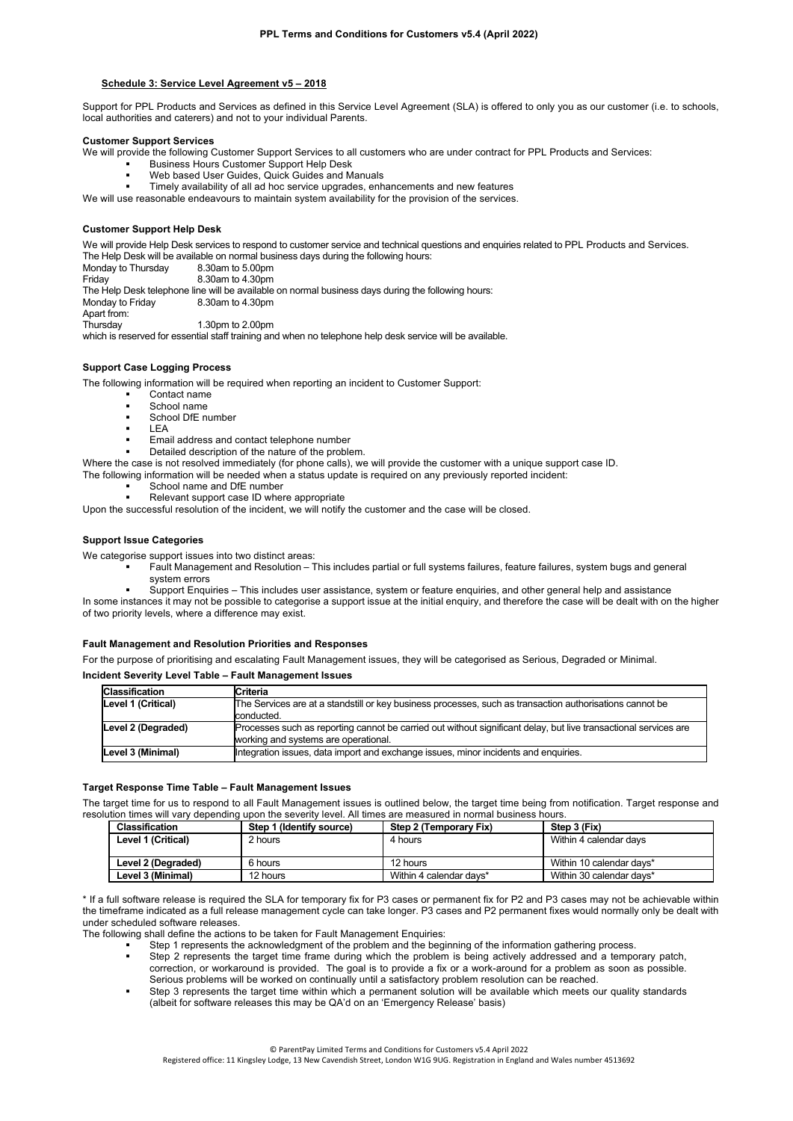# **Schedule 3: Service Level Agreement v5 – 2018**

Support for PPL Products and Services as defined in this Service Level Agreement (SLA) is offered to only you as our customer (i.e. to schools, local authorities and caterers) and not to your individual Parents.

#### **Customer Support Services**

We will provide the following Customer Support Services to all customers who are under contract for PPL Products and Services:

- § Business Hours Customer Support Help Desk
- Web based User Guides, Quick Guides and Manuals
- § Timely availability of all ad hoc service upgrades, enhancements and new features

We will use reasonable endeavours to maintain system availability for the provision of the services.

#### **Customer Support Help Desk**

We will provide Help Desk services to respond to customer service and technical questions and enquiries related to PPL Products and Services. The Help Desk will be available on normal business days during the following hours:<br>Monday to Thursday 8.30am to 5.00pm

Monday to Thursday<br>Friday

8.30am to 4.30pm

The Help Desk telephone line will be available on normal business days during the following hours:<br>Monday to Friday 8.30am to 4.30pm

8.30am to 4.30pm

Apart from:<br>Thursdav

1.30pm to 2.00pm

which is reserved for essential staff training and when no telephone help desk service will be available.

#### **Support Case Logging Process**

The following information will be required when reporting an incident to Customer Support:

- § Contact name
- § School name
- § School DfE number
- § LEA
	- Email address and contact telephone number

Detailed description of the nature of the problem.

Where the case is not resolved immediately (for phone calls), we will provide the customer with a unique support case ID.

The following information will be needed when a status update is required on any previously reported incident:

- § School name and DfE number
- § Relevant support case ID where appropriate

Upon the successful resolution of the incident, we will notify the customer and the case will be closed.

#### **Support Issue Categories**

We categorise support issues into two distinct areas:

- Fault Management and Resolution This includes partial or full systems failures, feature failures, system bugs and general system errors
- § Support Enquiries This includes user assistance, system or feature enquiries, and other general help and assistance

In some instances it may not be possible to categorise a support issue at the initial enquiry, and therefore the case will be dealt with on the higher of two priority levels, where a difference may exist.

#### **Fault Management and Resolution Priorities and Responses**

For the purpose of prioritising and escalating Fault Management issues, they will be categorised as Serious, Degraded or Minimal.

#### **Incident Severity Level Table – Fault Management Issues**

| <b>Classification</b>                                                                                                          | Criteria                                                                                                         |
|--------------------------------------------------------------------------------------------------------------------------------|------------------------------------------------------------------------------------------------------------------|
| Level 1 (Critical)<br>The Services are at a standstill or key business processes, such as transaction authorisations cannot be |                                                                                                                  |
|                                                                                                                                | conducted.                                                                                                       |
| Level 2 (Degraded)                                                                                                             | Processes such as reporting cannot be carried out without significant delay, but live transactional services are |
|                                                                                                                                | working and systems are operational.                                                                             |
| Level 3 (Minimal)                                                                                                              | Integration issues, data import and exchange issues, minor incidents and enquiries.                              |

#### **Target Response Time Table – Fault Management Issues**

The target time for us to respond to all Fault Management issues is outlined below, the target time being from notification. Target response and resolution times will vary depending upon the severity level. All times are measured in normal business h

| <b>Classification</b> | Step 1 (Identify source) | Step 2 (Temporary Fix)  | Step 3 (Fix)             |
|-----------------------|--------------------------|-------------------------|--------------------------|
| Level 1 (Critical)    | 2 hours                  | 4 hours                 | Within 4 calendar days   |
|                       |                          |                         |                          |
| Level 2 (Degraded)    | 6 hours                  | 12 hours                | Within 10 calendar days* |
| Level 3 (Minimal)     | 12 hours                 | Within 4 calendar days* | Within 30 calendar days* |

\* If a full software release is required the SLA for temporary fix for P3 cases or permanent fix for P2 and P3 cases may not be achievable within the timeframe indicated as a full release management cycle can take longer. P3 cases and P2 permanent fixes would normally only be dealt with under scheduled software releases.

The following shall define the actions to be taken for Fault Management Enquiries:

- Step 1 represents the acknowledgment of the problem and the beginning of the information gathering process.
- Step 2 represents the target time frame during which the problem is being actively addressed and a temporary patch, correction, or workaround is provided. The goal is to provide a fix or a work-around for a problem as soon as possible. Serious problems will be worked on continually until a satisfactory problem resolution can be reached.
- Step 3 represents the target time within which a permanent solution will be available which meets our quality standards (albeit for software releases this may be QA'd on an 'Emergency Release' basis)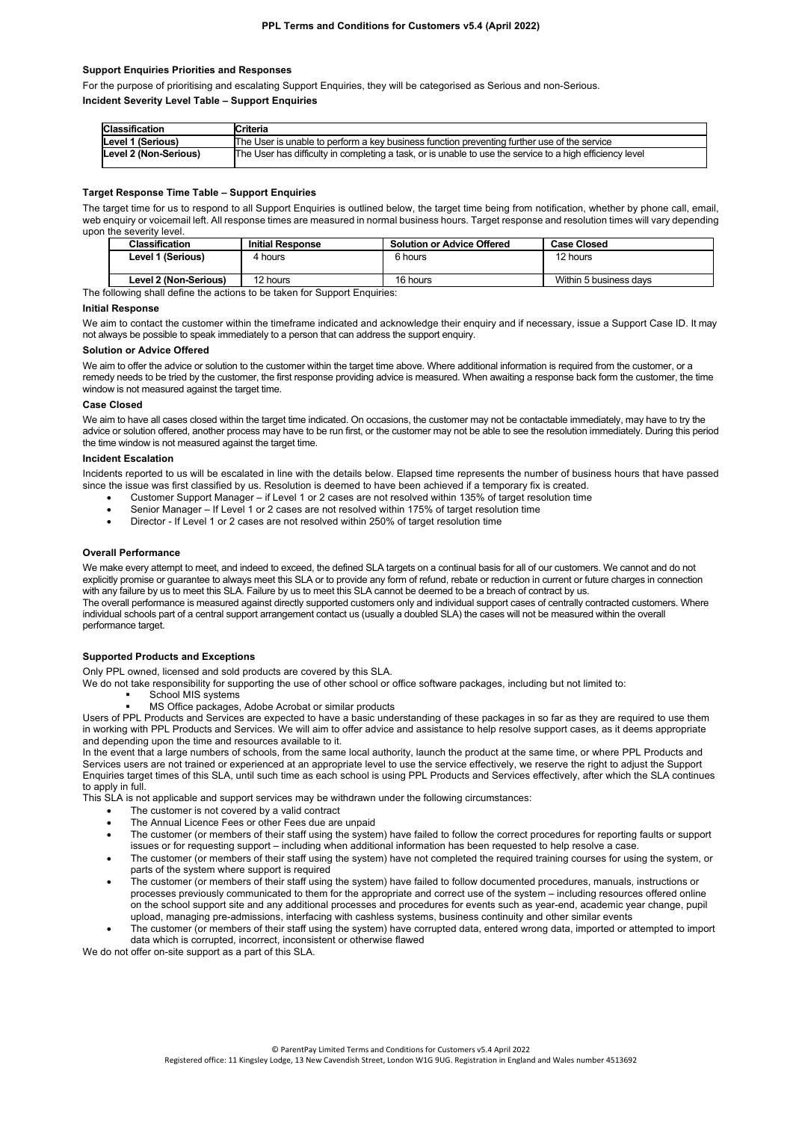# **Support Enquiries Priorities and Responses**

For the purpose of prioritising and escalating Support Enquiries, they will be categorised as Serious and non-Serious.

**Incident Severity Level Table – Support Enquiries**

| <b>Classification</b> | Criteria                                                                                                 |
|-----------------------|----------------------------------------------------------------------------------------------------------|
| Level 1 (Serious)     | The User is unable to perform a key business function preventing further use of the service              |
| Level 2 (Non-Serious) | The User has difficulty in completing a task, or is unable to use the service to a high efficiency level |

## **Target Response Time Table – Support Enquiries**

The target time for us to respond to all Support Enquiries is outlined below, the target time being from notification, whether by phone call, email, web enquiry or voicemail left. All response times are measured in normal business hours. Target response and resolution times will vary depending upon the severity level.

| <b>Classification</b> | <b>Initial Response</b> | <b>Solution or Advice Offered</b> | <b>Case Closed</b>     |
|-----------------------|-------------------------|-----------------------------------|------------------------|
| Level 1 (Serious)     | 4 hours                 | 6 hours                           | 12 hours               |
|                       |                         |                                   |                        |
| Level 2 (Non-Serious) | 12 hours                | 16 hours                          | Within 5 business days |

The following shall define the actions to be taken for Support Enquiries:

#### **Initial Response**

We aim to contact the customer within the timeframe indicated and acknowledge their enquiry and if necessary, issue a Support Case ID. It may not always be possible to speak immediately to a person that can address the support enquiry.

#### **Solution or Advice Offered**

We aim to offer the advice or solution to the customer within the target time above. Where additional information is required from the customer, or a remedy needs to be tried by the customer, the first response providing advice is measured. When awaiting a response back form the customer, the time window is not measured against the target time.

#### **Case Closed**

We aim to have all cases closed within the target time indicated. On occasions, the customer may not be contactable immediately, may have to try the advice or solution offered, another process may have to be run first, or the customer may not be able to see the resolution immediately. During this period the time window is not measured against the target time.

# **Incident Escalation**

Incidents reported to us will be escalated in line with the details below. Elapsed time represents the number of business hours that have passed since the issue was first classified by us. Resolution is deemed to have been achieved if a temporary fix is created.

- Customer Support Manager if Level 1 or 2 cases are not resolved within 135% of target resolution time
- Senior Manager If Level 1 or 2 cases are not resolved within 175% of target resolution time
- Director If Level 1 or 2 cases are not resolved within 250% of target resolution time

#### **Overall Performance**

We make every attempt to meet, and indeed to exceed, the defined SLA targets on a continual basis for all of our customers. We cannot and do not explicitly promise or guarantee to always meet this SLA or to provide any form of refund, rebate or reduction in current or future charges in connection with any failure by us to meet this SLA. Failure by us to meet this SLA cannot be deemed to be a breach of contract by us. The overall performance is measured against directly supported customers only and individual support cases of centrally contracted customers. Where individual schools part of a central support arrangement contact us (usually a doubled SLA) the cases will not be measured within the overall performance target

#### **Supported Products and Exceptions**

Only PPL owned, licensed and sold products are covered by this SLA.

We do not take responsibility for supporting the use of other school or office software packages, including but not limited to:

- § School MIS systems
- MS Office packages, Adobe Acrobat or similar products

Users of PPL Products and Services are expected to have a basic understanding of these packages in so far as they are required to use them in working with PPL Products and Services. We will aim to offer advice and assistance to help resolve support cases, as it deems appropriate and depending upon the time and resources available to it.

In the event that a large numbers of schools, from the same local authority, launch the product at the same time, or where PPL Products and Services users are not trained or experienced at an appropriate level to use the service effectively, we reserve the right to adjust the Support Enquiries target times of this SLA, until such time as each school is using PPL Products and Services effectively, after which the SLA continues to apply in full.

This SLA is not applicable and support services may be withdrawn under the following circumstances:

- The customer is not covered by a valid contract
- The Annual Licence Fees or other Fees due are unpaid
- The customer (or members of their staff using the system) have failed to follow the correct procedures for reporting faults or support issues or for requesting support – including when additional information has been requested to help resolve a case.
- The customer (or members of their staff using the system) have not completed the required training courses for using the system, or parts of the system where support is required
- The customer (or members of their staff using the system) have failed to follow documented procedures, manuals, instructions or processes previously communicated to them for the appropriate and correct use of the system – including resources offered online on the school support site and any additional processes and procedures for events such as year-end, academic year change, pupil upload, managing pre-admissions, interfacing with cashless systems, business continuity and other similar events
- The customer (or members of their staff using the system) have corrupted data, entered wrong data, imported or attempted to import data which is corrupted, incorrect, inconsistent or otherwise flawed

We do not offer on-site support as a part of this SLA.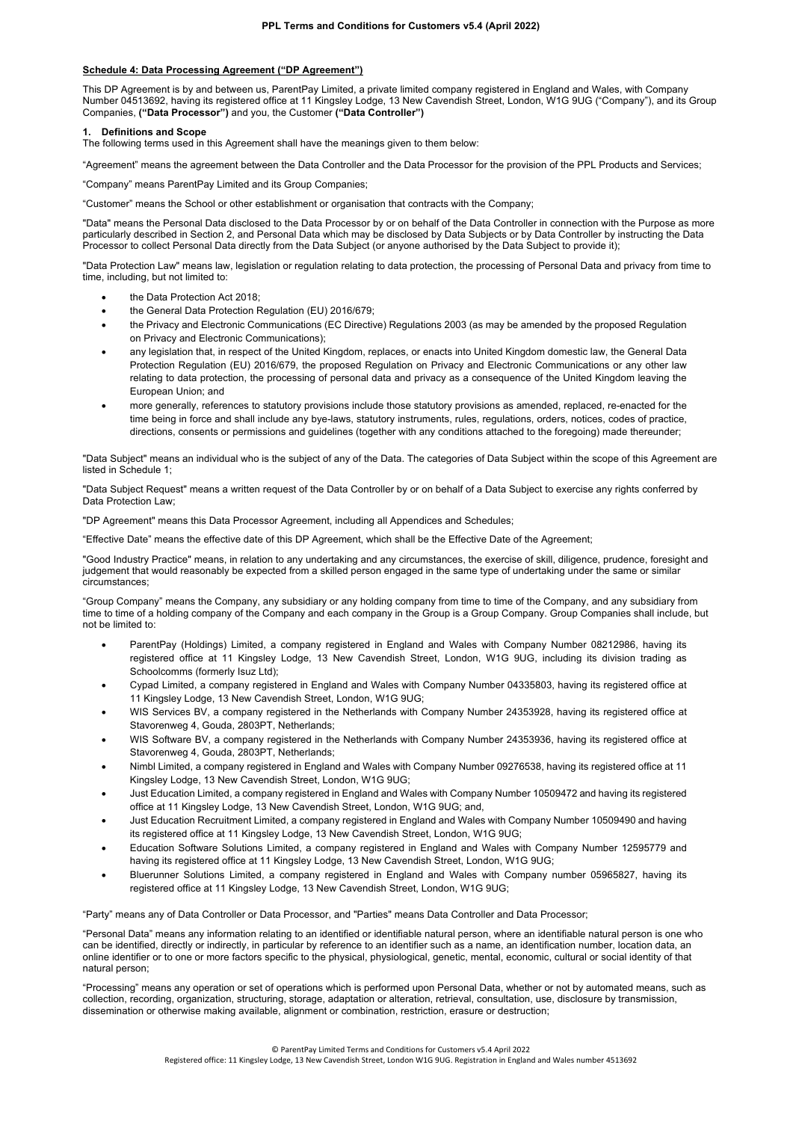# **Schedule 4: Data Processing Agreement ("DP Agreement")**

This DP Agreement is by and between us, ParentPay Limited, a private limited company registered in England and Wales, with Company Number 04513692, having its registered office at 11 Kingsley Lodge, 13 New Cavendish Street, London, W1G 9UG ("Company"), and its Group Companies, **("Data Processor")** and you, the Customer **("Data Controller")**

#### **1. Definitions and Scope**

The following terms used in this Agreement shall have the meanings given to them below:

"Agreement" means the agreement between the Data Controller and the Data Processor for the provision of the PPL Products and Services;

"Company" means ParentPay Limited and its Group Companies;

"Customer" means the School or other establishment or organisation that contracts with the Company;

"Data" means the Personal Data disclosed to the Data Processor by or on behalf of the Data Controller in connection with the Purpose as more particularly described in Section 2, and Personal Data which may be disclosed by Data Subjects or by Data Controller by instructing the Data Processor to collect Personal Data directly from the Data Subject (or anyone authorised by the Data Subject to provide it);

"Data Protection Law" means law, legislation or regulation relating to data protection, the processing of Personal Data and privacy from time to time, including, but not limited to:

- the Data Protection Act 2018:
- the General Data Protection Regulation (EU) 2016/679;
- the Privacy and Electronic Communications (EC Directive) Regulations 2003 (as may be amended by the proposed Regulation on Privacy and Electronic Communications);
- any legislation that, in respect of the United Kingdom, replaces, or enacts into United Kingdom domestic law, the General Data Protection Regulation (EU) 2016/679, the proposed Regulation on Privacy and Electronic Communications or any other law relating to data protection, the processing of personal data and privacy as a consequence of the United Kingdom leaving the European Union; and
- more generally, references to statutory provisions include those statutory provisions as amended, replaced, re-enacted for the time being in force and shall include any bye-laws, statutory instruments, rules, regulations, orders, notices, codes of practice, directions, consents or permissions and quidelines (together with any conditions attached to the foregoing) made thereunder;

"Data Subject" means an individual who is the subject of any of the Data. The categories of Data Subject within the scope of this Agreement are listed in Schedule 1;

"Data Subject Request" means a written request of the Data Controller by or on behalf of a Data Subject to exercise any rights conferred by Data Protection Law;

"DP Agreement" means this Data Processor Agreement, including all Appendices and Schedules;

"Effective Date" means the effective date of this DP Agreement, which shall be the Effective Date of the Agreement;

"Good Industry Practice" means, in relation to any undertaking and any circumstances, the exercise of skill, diligence, prudence, foresight and judgement that would reasonably be expected from a skilled person engaged in the same type of undertaking under the same or similar circumstances;

"Group Company" means the Company, any subsidiary or any holding company from time to time of the Company, and any subsidiary from time to time of a holding company of the Company and each company in the Group is a Group Company. Group Companies shall include, but not be limited to:

- ParentPay (Holdings) Limited, a company registered in England and Wales with Company Number 08212986, having its registered office at 11 Kingsley Lodge, 13 New Cavendish Street, London, W1G 9UG, including its division trading as Schoolcomms (formerly Isuz Ltd);
- Cypad Limited, a company registered in England and Wales with Company Number 04335803, having its registered office at 11 Kingsley Lodge, 13 New Cavendish Street, London, W1G 9UG;
- WIS Services BV, a company registered in the Netherlands with Company Number 24353928, having its registered office at Stavorenweg 4, Gouda, 2803PT, Netherlands;
- WIS Software BV, a company registered in the Netherlands with Company Number 24353936, having its registered office at Stavorenweg 4, Gouda, 2803PT, Netherlands;
- Nimbl Limited, a company registered in England and Wales with Company Number 09276538, having its registered office at 11 Kingsley Lodge, 13 New Cavendish Street, London, W1G 9UG;
- Just Education Limited, a company registered in England and Wales with Company Number 10509472 and having its registered office at 11 Kingsley Lodge, 13 New Cavendish Street, London, W1G 9UG; and,
- Just Education Recruitment Limited, a company registered in England and Wales with Company Number 10509490 and having its registered office at 11 Kingsley Lodge, 13 New Cavendish Street, London, W1G 9UG;
- Education Software Solutions Limited, a company registered in England and Wales with Company Number 12595779 and having its registered office at 11 Kingsley Lodge, 13 New Cavendish Street, London, W1G 9UG;
- Bluerunner Solutions Limited, a company registered in England and Wales with Company number 05965827, having its registered office at 11 Kingsley Lodge, 13 New Cavendish Street, London, W1G 9UG;

"Party" means any of Data Controller or Data Processor, and "Parties" means Data Controller and Data Processor;

"Personal Data" means any information relating to an identified or identifiable natural person, where an identifiable natural person is one who can be identified, directly or indirectly, in particular by reference to an identifier such as a name, an identification number, location data, an online identifier or to one or more factors specific to the physical, physiological, genetic, mental, economic, cultural or social identity of that natural person;

"Processing" means any operation or set of operations which is performed upon Personal Data, whether or not by automated means, such as collection, recording, organization, structuring, storage, adaptation or alteration, retrieval, consultation, use, disclosure by transmission, dissemination or otherwise making available, alignment or combination, restriction, erasure or destruction;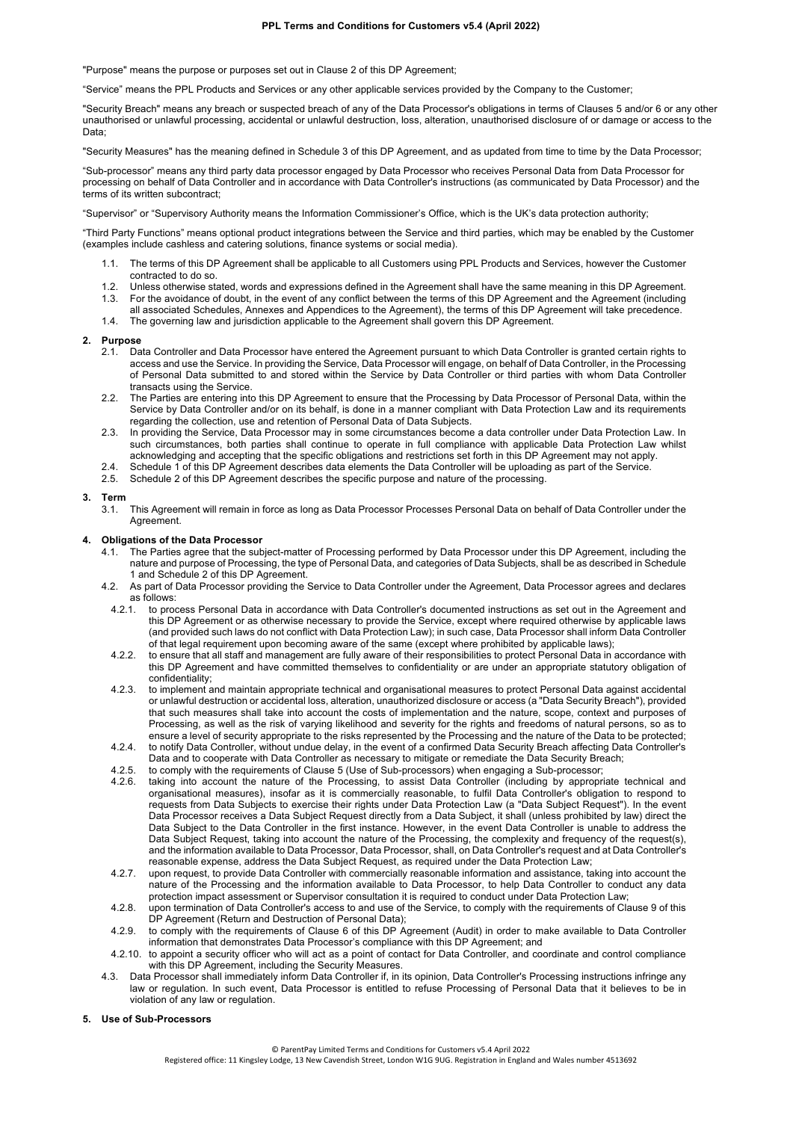"Purpose" means the purpose or purposes set out in Clause 2 of this DP Agreement;

"Service" means the PPL Products and Services or any other applicable services provided by the Company to the Customer;

"Security Breach" means any breach or suspected breach of any of the Data Processor's obligations in terms of Clauses 5 and/or 6 or any other unauthorised or unlawful processing, accidental or unlawful destruction, loss, alteration, unauthorised disclosure of or damage or access to the Data;

"Security Measures" has the meaning defined in Schedule 3 of this DP Agreement, and as updated from time to time by the Data Processor;

"Sub-processor" means any third party data processor engaged by Data Processor who receives Personal Data from Data Processor for processing on behalf of Data Controller and in accordance with Data Controller's instructions (as communicated by Data Processor) and the terms of its written subcontract;

"Supervisor" or "Supervisory Authority means the Information Commissioner's Office, which is the UK's data protection authority;

"Third Party Functions" means optional product integrations between the Service and third parties, which may be enabled by the Customer (examples include cashless and catering solutions, finance systems or social media).

- 1.1. The terms of this DP Agreement shall be applicable to all Customers using PPL Products and Services, however the Customer contracted to do so.
- 1.2. Unless otherwise stated, words and expressions defined in the Agreement shall have the same meaning in this DP Agreement.
- 1.3. For the avoidance of doubt, in the event of any conflict between the terms of this DP Agreement and the Agreement (including all associated Schedules, Annexes and Appendices to the Agreement), the terms of this DP Agreement will take precedence.
- 1.4. The governing law and jurisdiction applicable to the Agreement shall govern this DP Agreement.

# **2. Purpose**

- 2.1. Data Controller and Data Processor have entered the Agreement pursuant to which Data Controller is granted certain rights to access and use the Service. In providing the Service, Data Processor will engage, on behalf of Data Controller, in the Processing of Personal Data submitted to and stored within the Service by Data Controller or third parties with whom Data Controller transacts using the Service.
- 2.2. The Parties are entering into this DP Agreement to ensure that the Processing by Data Processor of Personal Data, within the Service by Data Controller and/or on its behalf, is done in a manner compliant with Data Protection Law and its requirements regarding the collection, use and retention of Personal Data of Data Subjects.
- 2.3. In providing the Service, Data Processor may in some circumstances become a data controller under Data Protection Law. In such circumstances, both parties shall continue to operate in full compliance with applicable Data Protection Law whilst acknowledging and accepting that the specific obligations and restrictions set forth in this DP Agreement may not apply.
- 2.4. Schedule 1 of this DP Agreement describes data elements the Data Controller will be uploading as part of the Service.<br>2.5. Schedule 2 of this DP Agreement describes the specific purpose and nature of the processing
- Schedule 2 of this DP Agreement describes the specific purpose and nature of the processing.

#### **3. Term**

3.1. This Agreement will remain in force as long as Data Processor Processes Personal Data on behalf of Data Controller under the **Agreement** 

#### **4. Obligations of the Data Processor**

- The Parties agree that the subject-matter of Processing performed by Data Processor under this DP Agreement, including the nature and purpose of Processing, the type of Personal Data, and categories of Data Subjects, shall be as described in Schedule 1 and Schedule 2 of this DP Agreement.
- 4.2. As part of Data Processor providing the Service to Data Controller under the Agreement, Data Processor agrees and declares as follows:
	- 4.2.1. to process Personal Data in accordance with Data Controller's documented instructions as set out in the Agreement and this DP Agreement or as otherwise necessary to provide the Service, except where required otherwise by applicable laws (and provided such laws do not conflict with Data Protection Law); in such case, Data Processor shall inform Data Controller of that legal requirement upon becoming aware of the same (except where prohibited by applicable laws);
	- 4.2.2. to ensure that all staff and management are fully aware of their responsibilities to protect Personal Data in accordance with this DP Agreement and have committed themselves to confidentiality or are under an appropriate statutory obligation of confidentiality;
	- 4.2.3. to implement and maintain appropriate technical and organisational measures to protect Personal Data against accidental or unlawful destruction or accidental loss, alteration, unauthorized disclosure or access (a "Data Security Breach"), provided that such measures shall take into account the costs of implementation and the nature, scope, context and purposes of Processing, as well as the risk of varying likelihood and severity for the rights and freedoms of natural persons, so as to ensure a level of security appropriate to the risks represented by the Processing and the nature of the Data to be protected;
	- 4.2.4. to notify Data Controller, without undue delay, in the event of a confirmed Data Security Breach affecting Data Controller's Data and to cooperate with Data Controller as necessary to mitigate or remediate the Data Security Breach;
	- 4.2.5. to comply with the requirements of Clause 5 (Use of Sub-processors) when engaging a Sub-processor;
	- 4.2.6. taking into account the nature of the Processing, to assist Data Controller (including by appropriate technical and organisational measures), insofar as it is commercially reasonable, to fulfil Data Controller's obligation to respond to requests from Data Subjects to exercise their rights under Data Protection Law (a "Data Subject Request"). In the event Data Processor receives a Data Subject Request directly from a Data Subject, it shall (unless prohibited by law) direct the Data Subject to the Data Controller in the first instance. However, in the event Data Controller is unable to address the Data Subject Request, taking into account the nature of the Processing, the complexity and frequency of the request(s), and the information available to Data Processor, Data Processor, shall, on Data Controller's request and at Data Controller's reasonable expense, address the Data Subject Request, as required under the Data Protection Law;
	- 4.2.7. upon request, to provide Data Controller with commercially reasonable information and assistance, taking into account the nature of the Processing and the information available to Data Processor, to help Data Controller to conduct any data protection impact assessment or Supervisor consultation it is required to conduct under Data Protection Law;
	- 4.2.8. upon termination of Data Controller's access to and use of the Service, to comply with the requirements of Clause 9 of this DP Agreement (Return and Destruction of Personal Data);
	- 4.2.9. to comply with the requirements of Clause 6 of this DP Agreement (Audit) in order to make available to Data Controller information that demonstrates Data Processor's compliance with this DP Agreement; and
- 4.2.10. to appoint a security officer who will act as a point of contact for Data Controller, and coordinate and control compliance with this DP Agreement, including the Security Measures.
- 4.3. Data Processor shall immediately inform Data Controller if, in its opinion, Data Controller's Processing instructions infringe any law or regulation. In such event, Data Processor is entitled to refuse Processing of Personal Data that it believes to be in violation of any law or regulation.

#### **5. Use of Sub-Processors**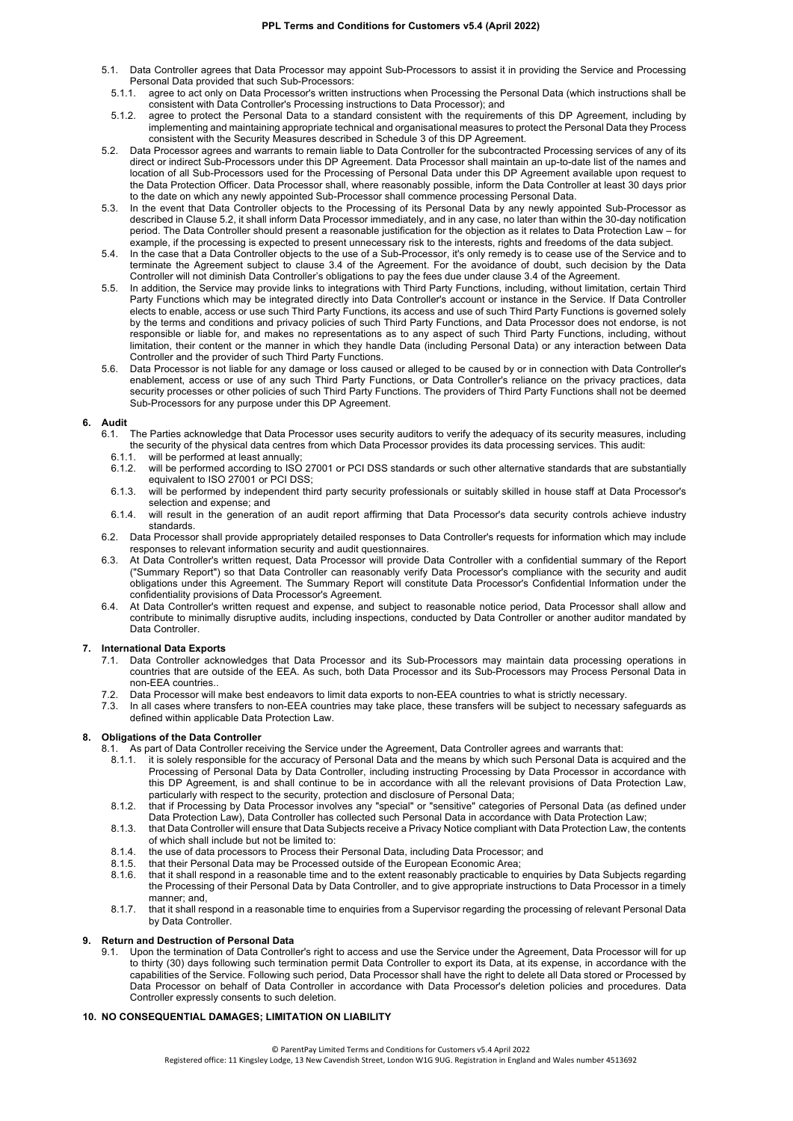- 5.1. Data Controller agrees that Data Processor may appoint Sub-Processors to assist it in providing the Service and Processing Personal Data provided that such Sub-Processors:
	- 5.1.1. agree to act only on Data Processor's written instructions when Processing the Personal Data (which instructions shall be consistent with Data Controller's Processing instructions to Data Processor); and
	- 5.1.2. agree to protect the Personal Data to a standard consistent with the requirements of this DP Agreement, including by implementing and maintaining appropriate technical and organisational measures to protect the Personal Data they Process consistent with the Security Measures described in Schedule 3 of this DP Agreement.
- 5.2. Data Processor agrees and warrants to remain liable to Data Controller for the subcontracted Processing services of any of its direct or indirect Sub-Processors under this DP Agreement. Data Processor shall maintain an up-to-date list of the names and location of all Sub-Processors used for the Processing of Personal Data under this DP Agreement available upon request to the Data Protection Officer. Data Processor shall, where reasonably possible, inform the Data Controller at least 30 days prior to the date on which any newly appointed Sub-Processor shall commence processing Personal Data.
- 5.3. In the event that Data Controller objects to the Processing of its Personal Data by any newly appointed Sub-Processor as described in Clause 5.2, it shall inform Data Processor immediately, and in any case, no later than within the 30-day notification period. The Data Controller should present a reasonable justification for the objection as it relates to Data Protection Law – for example, if the processing is expected to present unnecessary risk to the interests, rights and freedoms of the data subject.
- 5.4. In the case that a Data Controller objects to the use of a Sub-Processor, it's only remedy is to cease use of the Service and to terminate the Agreement subject to clause 3.4 of the Agreement. For the avoidance of doubt, such decision by the Data Controller will not diminish Data Controller's obligations to pay the fees due under clause 3.4 of the Agreement.
- 5.5. In addition, the Service may provide links to integrations with Third Party Functions, including, without limitation, certain Third Party Functions which may be integrated directly into Data Controller's account or instance in the Service. If Data Controller elects to enable, access or use such Third Party Functions, its access and use of such Third Party Functions is governed solely by the terms and conditions and privacy policies of such Third Party Functions, and Data Processor does not endorse, is not responsible or liable for, and makes no representations as to any aspect of such Third Party Functions, including, without limitation, their content or the manner in which they handle Data (including Personal Data) or any interaction between Data Controller and the provider of such Third Party Functions.
- 5.6. Data Processor is not liable for any damage or loss caused or alleged to be caused by or in connection with Data Controller's enablement, access or use of any such Third Party Functions, or Data Controller's reliance on the privacy practices, data security processes or other policies of such Third Party Functions. The providers of Third Party Functions shall not be deemed Sub-Processors for any purpose under this DP Agreement.

# **6. Audit**

- The Parties acknowledge that Data Processor uses security auditors to verify the adequacy of its security measures, including the security of the physical data centres from which Data Processor provides its data processing services. This audit:<br>6.1.1. will be performed at least annually:
	- will be performed at least annually:
- 6.1.2. will be performed according to ISO 27001 or PCI DSS standards or such other alternative standards that are substantially equivalent to ISO 27001 or PCI DSS:
- 6.1.3. will be performed by independent third party security professionals or suitably skilled in house staff at Data Processor's selection and expense; and
- 6.1.4. will result in the generation of an audit report affirming that Data Processor's data security controls achieve industry standards.
- 6.2. Data Processor shall provide appropriately detailed responses to Data Controller's requests for information which may include responses to relevant information security and audit questionnaires.
- 6.3. At Data Controller's written request, Data Processor will provide Data Controller with a confidential summary of the Report ("Summary Report") so that Data Controller can reasonably verify Data Processor's compliance with the security and audit obligations under this Agreement. The Summary Report will constitute Data Processor's Confidential Information under the confidentiality provisions of Data Processor's Agreement.
- 6.4. At Data Controller's written request and expense, and subject to reasonable notice period, Data Processor shall allow and contribute to minimally disruptive audits, including inspections, conducted by Data Controller or another auditor mandated by Data Controller.

# **7. International Data Exports**

- 7.1. Data Controller acknowledges that Data Processor and its Sub-Processors may maintain data processing operations in countries that are outside of the EEA. As such, both Data Processor and its Sub-Processors may Process Personal Data in non-EEA countries..
- 7.2. Data Processor will make best endeavors to limit data exports to non-EEA countries to what is strictly necessary.
- 7.3. In all cases where transfers to non-EEA countries may take place, these transfers will be subject to necessary safeguards as defined within applicable Data Protection Law.

# **8. Obligations of the Data Controller**

- 8.1. As part of Data Controller receiving the Service under the Agreement, Data Controller agrees and warrants that:
	- 8.1.1. it is solely responsible for the accuracy of Personal Data and the means by which such Personal Data is acquired and the Processing of Personal Data by Data Controller, including instructing Processing by Data Processor in accordance with this DP Agreement, is and shall continue to be in accordance with all the relevant provisions of Data Protection Law, particularly with respect to the security, protection and disclosure of Personal Data;
	- 8.1.2. that if Processing by Data Processor involves any "special" or "sensitive" categories of Personal Data (as defined under Data Protection Law), Data Controller has collected such Personal Data in accordance with Data Protection Law;
	- 8.1.3. that Data Controller will ensure that Data Subjects receive a Privacy Notice compliant with Data Protection Law, the contents of which shall include but not be limited to:
	- 8.1.4. the use of data processors to Process their Personal Data, including Data Processor; and
	- 8.1.5. that their Personal Data may be Processed outside of the European Economic Area;
	- 8.1.6. that it shall respond in a reasonable time and to the extent reasonably practicable to enquiries by Data Subjects regarding the Processing of their Personal Data by Data Controller, and to give appropriate instructions to Data Processor in a timely manner; and,
	- 8.1.7. that it shall respond in a reasonable time to enquiries from a Supervisor regarding the processing of relevant Personal Data by Data Controller.

# **9. Return and Destruction of Personal Data**

9.1. Upon the termination of Data Controller's right to access and use the Service under the Agreement, Data Processor will for up to thirty (30) days following such termination permit Data Controller to export its Data, at its expense, in accordance with the capabilities of the Service. Following such period, Data Processor shall have the right to delete all Data stored or Processed by Data Processor on behalf of Data Controller in accordance with Data Processor's deletion policies and procedures. Data Controller expressly consents to such deletion.

# **10. NO CONSEQUENTIAL DAMAGES; LIMITATION ON LIABILITY**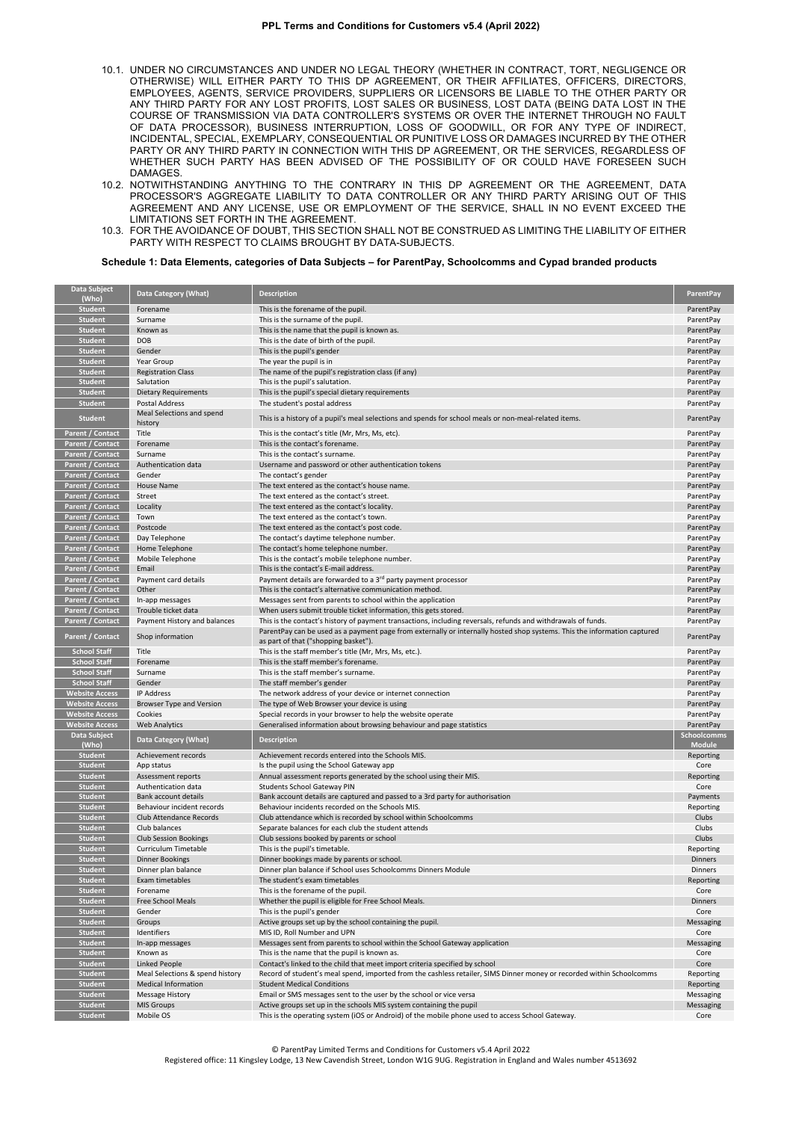- 10.1. UNDER NO CIRCUMSTANCES AND UNDER NO LEGAL THEORY (WHETHER IN CONTRACT, TORT, NEGLIGENCE OR OTHERWISE) WILL EITHER PARTY TO THIS DP AGREEMENT, OR THEIR AFFILIATES, OFFICERS, DIRECTORS, EMPLOYEES, AGENTS, SERVICE PROVIDERS, SUPPLIERS OR LICENSORS BE LIABLE TO THE OTHER PARTY OR ANY THIRD PARTY FOR ANY LOST PROFITS, LOST SALES OR BUSINESS, LOST DATA (BEING DATA LOST IN THE COURSE OF TRANSMISSION VIA DATA CONTROLLER'S SYSTEMS OR OVER THE INTERNET THROUGH NO FAULT OF DATA PROCESSOR), BUSINESS INTERRUPTION, LOSS OF GOODWILL, OR FOR ANY TYPE OF INDIRECT, INCIDENTAL, SPECIAL, EXEMPLARY, CONSEQUENTIAL OR PUNITIVE LOSS OR DAMAGES INCURRED BY THE OTHER PARTY OR ANY THIRD PARTY IN CONNECTION WITH THIS DP AGREEMENT, OR THE SERVICES, REGARDLESS OF WHETHER SUCH PARTY HAS BEEN ADVISED OF THE POSSIBILITY OF OR COULD HAVE FORESEEN SUCH **DAMAGES**
- 10.2. NOTWITHSTANDING ANYTHING TO THE CONTRARY IN THIS DP AGREEMENT OR THE AGREEMENT, DATA PROCESSOR'S AGGREGATE LIABILITY TO DATA CONTROLLER OR ANY THIRD PARTY ARISING OUT OF THIS AGREEMENT AND ANY LICENSE, USE OR EMPLOYMENT OF THE SERVICE, SHALL IN NO EVENT EXCEED THE LIMITATIONS SET FORTH IN THE AGREEMENT.
- 10.3. FOR THE AVOIDANCE OF DOUBT, THIS SECTION SHALL NOT BE CONSTRUED AS LIMITING THE LIABILITY OF EITHER PARTY WITH RESPECT TO CLAIMS BROUGHT BY DATA-SUBJECTS.

**Schedule 1: Data Elements, categories of Data Subjects – for ParentPay, Schoolcomms and Cypad branded products**

| Data Subject<br>(Who)                | Data Category (What)                 | <b>Description</b>                                                                                                                                               | ParentPay                    |
|--------------------------------------|--------------------------------------|------------------------------------------------------------------------------------------------------------------------------------------------------------------|------------------------------|
| <b>Student</b>                       | Forename                             | This is the forename of the pupil.                                                                                                                               | ParentPay                    |
| <b>Student</b>                       | Surname                              | This is the surname of the pupil.                                                                                                                                | ParentPay                    |
| <b>Student</b>                       | Known as                             | This is the name that the pupil is known as.                                                                                                                     | ParentPay                    |
| <b>Student</b>                       | <b>DOB</b>                           | This is the date of birth of the pupil.                                                                                                                          | ParentPay                    |
| <b>Student</b>                       | Gender                               | This is the pupil's gender                                                                                                                                       | ParentPay                    |
| <b>Student</b>                       | Year Group                           | The year the pupil is in                                                                                                                                         | ParentPay                    |
| <b>Student</b>                       | <b>Registration Class</b>            | The name of the pupil's registration class (if any)                                                                                                              | ParentPay                    |
| <b>Student</b>                       | Salutation                           | This is the pupil's salutation.                                                                                                                                  | ParentPay                    |
| <b>Student</b>                       | <b>Dietary Requirements</b>          | This is the pupil's special dietary requirements                                                                                                                 | ParentPay                    |
| <b>Student</b>                       | Postal Address                       | The student's postal address                                                                                                                                     | ParentPay                    |
| <b>Student</b>                       | Meal Selections and spend<br>history | This is a history of a pupil's meal selections and spends for school meals or non-meal-related items.                                                            | ParentPay                    |
| Parent / Contact                     | Title                                | This is the contact's title (Mr, Mrs, Ms, etc).                                                                                                                  | ParentPay                    |
| Parent / Contact                     | Forename                             | This is the contact's forename.                                                                                                                                  | ParentPay                    |
| Parent / Contact                     | Surname                              | This is the contact's surname.                                                                                                                                   | ParentPay                    |
| Parent / Contact                     | Authentication data                  | Username and password or other authentication tokens                                                                                                             | ParentPay                    |
| Parent / Contact                     | Gender                               | The contact's gender                                                                                                                                             | ParentPay                    |
| Parent / Contact                     | <b>House Name</b>                    | The text entered as the contact's house name.                                                                                                                    | ParentPay                    |
| Parent / Contact                     | Street                               | The text entered as the contact's street.                                                                                                                        | ParentPay                    |
| Parent / Contact                     | Locality                             | The text entered as the contact's locality.                                                                                                                      | ParentPay                    |
| Parent / Contact                     | Town                                 | The text entered as the contact's town.                                                                                                                          | ParentPay                    |
| Parent / Contact                     | Postcode                             | The text entered as the contact's post code.                                                                                                                     | ParentPay                    |
| Parent / Contact                     | Day Telephone                        | The contact's daytime telephone number.                                                                                                                          | ParentPay                    |
| Parent / Contact                     | Home Telephone                       | The contact's home telephone number.                                                                                                                             | ParentPay                    |
| Parent / Contact<br>Parent / Contact | Mobile Telephone                     | This is the contact's mobile telephone number.                                                                                                                   | ParentPay                    |
|                                      | Email                                | This is the contact's E-mail address.                                                                                                                            | ParentPay                    |
| Parent / Contact                     | Payment card details                 | Payment details are forwarded to a 3 <sup>rd</sup> party payment processor                                                                                       | ParentPay                    |
| Parent / Contact                     | Other                                | This is the contact's alternative communication method.                                                                                                          | ParentPay                    |
| Parent / Contact                     | In-app messages                      | Messages sent from parents to school within the application                                                                                                      | ParentPay                    |
| Parent / Contact                     | Trouble ticket data                  | When users submit trouble ticket information, this gets stored.                                                                                                  | ParentPay                    |
| Parent / Contact                     | Payment History and balances         | This is the contact's history of payment transactions, including reversals, refunds and withdrawals of funds.                                                    | ParentPay                    |
| Parent / Contact                     | Shop information                     | ParentPay can be used as a payment page from externally or internally hosted shop systems. This the information captured<br>as part of that ("shopping basket"). | ParentPay                    |
| <b>School Staff</b>                  | Title                                | This is the staff member's title (Mr, Mrs, Ms, etc.).                                                                                                            | ParentPay                    |
| <b>School Staff</b>                  | Forename                             | This is the staff member's forename.                                                                                                                             | ParentPay                    |
| <b>School Staff</b>                  | Surname                              | This is the staff member's surname.                                                                                                                              | ParentPay                    |
| <b>School Staff</b>                  | Gender                               | The staff member's gender                                                                                                                                        | ParentPay                    |
| <b>Website Access</b>                | <b>IP Address</b>                    | The network address of your device or internet connection                                                                                                        | ParentPay                    |
| <b>Website Access</b>                | <b>Browser Type and Version</b>      | The type of Web Browser your device is using                                                                                                                     | ParentPay                    |
| <b>Website Access</b>                | Cookies                              | Special records in your browser to help the website operate                                                                                                      | ParentPay                    |
| <b>Website Access</b>                | <b>Web Analytics</b>                 | Generalised information about browsing behaviour and page statistics                                                                                             | ParentPay                    |
| Data Subject<br>(Who)                | Data Category (What)                 | <b>Description</b>                                                                                                                                               | Schoolcomms<br><b>Module</b> |
| <b>Student</b>                       | Achievement records                  | Achievement records entered into the Schools MIS.                                                                                                                | Reporting                    |
| <b>Student</b>                       | App status                           | Is the pupil using the School Gateway app                                                                                                                        | Core                         |
| <b>Student</b>                       | Assessment reports                   | Annual assessment reports generated by the school using their MIS.                                                                                               | Reporting                    |
| <b>Student</b>                       | Authentication data                  | Students School Gateway PIN                                                                                                                                      | Core                         |
| <b>Student</b>                       | Bank account details                 | Bank account details are captured and passed to a 3rd party for authorisation                                                                                    | Payments                     |
| <b>Student</b>                       | Behaviour incident records           | Behaviour incidents recorded on the Schools MIS.                                                                                                                 | Reporting                    |
| <b>Student</b>                       | Club Attendance Records              | Club attendance which is recorded by school within Schoolcomms                                                                                                   | Clubs                        |
| <b>Student</b>                       | Club balances                        | Separate balances for each club the student attends                                                                                                              | Clubs                        |
| <b>Student</b>                       | <b>Club Session Bookings</b>         | Club sessions booked by parents or school                                                                                                                        | Clubs                        |
| <b>Student</b>                       | Curriculum Timetable                 | This is the pupil's timetable.                                                                                                                                   | Reporting                    |
| <b>Student</b>                       | <b>Dinner Bookings</b>               | Dinner bookings made by parents or school.                                                                                                                       | Dinners                      |
| <b>Student</b>                       | Dinner plan balance                  | Dinner plan balance if School uses Schoolcomms Dinners Module                                                                                                    | Dinners                      |
| <b>Student</b>                       | Exam timetables                      | The student's exam timetables                                                                                                                                    | Reporting                    |
| <b>Student</b>                       | Forename                             | This is the forename of the pupil.                                                                                                                               | Core                         |
| <b>Student</b>                       | Free School Meals                    | Whether the pupil is eligible for Free School Meals.                                                                                                             | <b>Dinners</b>               |
| <b>Student</b>                       | Gender                               | This is the pupil's gender                                                                                                                                       | Core                         |
| <b>Student</b>                       | Groups                               | Active groups set up by the school containing the pupil.                                                                                                         | Messaging                    |
| <b>Student</b>                       | Identifiers                          | MIS ID, Roll Number and UPN                                                                                                                                      | Core                         |
| <b>Student</b>                       | In-app messages                      | Messages sent from parents to school within the School Gateway application                                                                                       | Messaging                    |
| <b>Student</b>                       | Known as                             | This is the name that the pupil is known as.                                                                                                                     | Core                         |
| <b>Student</b>                       | <b>Linked People</b>                 | Contact's linked to the child that meet import criteria specified by school                                                                                      | Core                         |
| <b>Student</b>                       | Meal Selections & spend history      | Record of student's meal spend, imported from the cashless retailer, SIMS Dinner money or recorded within Schoolcomms                                            | Reporting                    |
| <b>Student</b>                       | <b>Medical Information</b>           | <b>Student Medical Conditions</b>                                                                                                                                | Reporting                    |
| <b>Student</b>                       | <b>Message History</b>               | Email or SMS messages sent to the user by the school or vice versa                                                                                               | Messaging                    |
| <b>Student</b>                       | <b>MIS Groups</b>                    | Active groups set up in the schools MIS system containing the pupil                                                                                              | Messaging                    |
| <b>Student</b>                       | Mobile OS                            | This is the operating system (iOS or Android) of the mobile phone used to access School Gateway.                                                                 | Core                         |

© ParentPay Limited Terms and Conditions for Customers v5.4 April 2022

Registered office: 11 Kingsley Lodge, 13 New Cavendish Street, London W1G 9UG. Registration in England and Wales number 4513692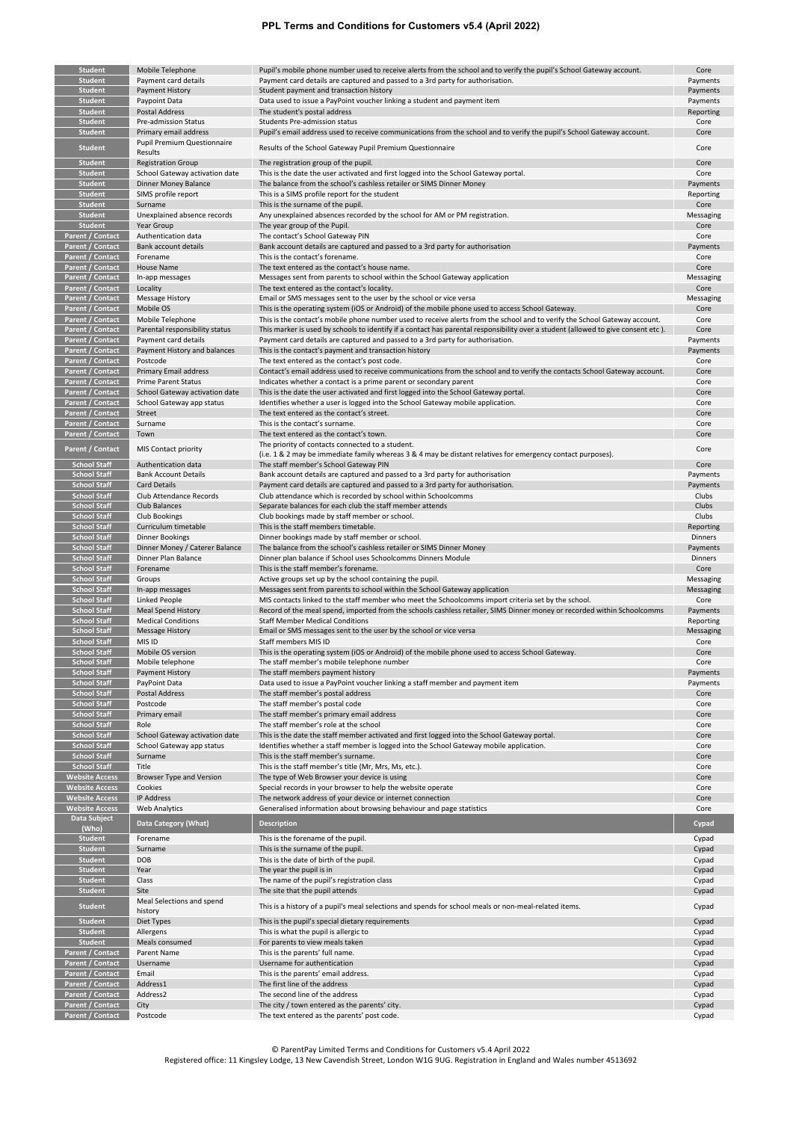| <b>Student</b>        | Mobile Telephone                   | Pupil's mobile phone number used to receive alerts from the school and to verify the pupil's School Gateway account.              | Core           |
|-----------------------|------------------------------------|-----------------------------------------------------------------------------------------------------------------------------------|----------------|
|                       |                                    |                                                                                                                                   |                |
| <b>Student</b>        | Payment card details               | Payment card details are captured and passed to a 3rd party for authorisation.                                                    | Payments       |
| <b>Student</b>        | <b>Payment History</b>             | Student payment and transaction history                                                                                           | Payments       |
| <b>Student</b>        | Paypoint Data                      | Data used to issue a PayPoint voucher linking a student and payment item                                                          | Payments       |
| <b>Student</b>        | <b>Postal Address</b>              | The student's postal address                                                                                                      | Reporting      |
| <b>Student</b>        | Pre-admission Status               | Students Pre-admission status                                                                                                     | Core           |
|                       |                                    |                                                                                                                                   |                |
| <b>Student</b>        | Primary email address              | Pupil's email address used to receive communications from the school and to verify the pupil's School Gateway account.            | Core           |
| <b>Student</b>        | <b>Pupil Premium Questionnaire</b> | Results of the School Gateway Pupil Premium Questionnaire                                                                         | Core           |
|                       | Results                            |                                                                                                                                   |                |
| <b>Student</b>        | <b>Registration Group</b>          | The registration group of the pupil.                                                                                              | Core           |
| <b>Student</b>        | School Gateway activation date     | This is the date the user activated and first logged into the School Gateway portal.                                              | Core           |
| <b>Student</b>        | Dinner Money Balance               | The balance from the school's cashless retailer or SIMS Dinner Money                                                              | Payments       |
|                       |                                    |                                                                                                                                   |                |
| <b>Student</b>        | SIMS profile report                | This is a SIMS profile report for the student                                                                                     | Reporting      |
| <b>Student</b>        | Surname                            | This is the surname of the pupil.                                                                                                 | Core           |
| <b>Student</b>        | Unexplained absence records        | Any unexplained absences recorded by the school for AM or PM registration.                                                        | Messaging      |
| <b>Student</b>        | Year Group                         | The year group of the Pupil.                                                                                                      | Core           |
| Parent / Contact      | Authentication data                | The contact's School Gateway PIN                                                                                                  | Core           |
|                       |                                    |                                                                                                                                   |                |
| Parent / Contact      | Bank account details               | Bank account details are captured and passed to a 3rd party for authorisation                                                     | Payments       |
| Parent / Contact      | Forename                           | This is the contact's forename.                                                                                                   | Core           |
| Parent / Contact      | <b>House Name</b>                  | The text entered as the contact's house name.                                                                                     | Core           |
| Parent / Contact      | In-app messages                    | Messages sent from parents to school within the School Gateway application                                                        | Messaging      |
| Parent / Contact      | Locality                           | The text entered as the contact's locality.                                                                                       | Core           |
|                       |                                    |                                                                                                                                   |                |
| Parent / Contact      | <b>Message History</b>             | Email or SMS messages sent to the user by the school or vice versa                                                                | Messaging      |
| Parent / Contact      | Mobile OS                          | This is the operating system (iOS or Android) of the mobile phone used to access School Gateway.                                  | Core           |
| Parent / Contact      | Mobile Telephone                   | This is the contact's mobile phone number used to receive alerts from the school and to verify the School Gateway account.        | Core           |
| Parent / Contact      | Parental responsibility status     | This marker is used by schools to identify if a contact has parental responsibility over a student (allowed to give consent etc). | Core           |
| Parent / Contact      | Payment card details               | Payment card details are captured and passed to a 3rd party for authorisation.                                                    | Payments       |
| Parent / Contact      | Payment History and balances       | This is the contact's payment and transaction history                                                                             | Payments       |
|                       |                                    |                                                                                                                                   |                |
| Parent / Contact      | Postcode                           | The text entered as the contact's post code.                                                                                      | Core           |
| Parent / Contact      | Primary Email address              | Contact's email address used to receive communications from the school and to verify the contacts School Gateway account.         | Core           |
| Parent / Contact      | <b>Prime Parent Status</b>         | Indicates whether a contact is a prime parent or secondary parent                                                                 | Core           |
| Parent / Contact      | School Gateway activation date     | This is the date the user activated and first logged into the School Gateway portal.                                              | Core           |
| Parent / Contact      | School Gateway app status          | Identifies whether a user is logged into the School Gateway mobile application.                                                   | Core           |
|                       |                                    |                                                                                                                                   |                |
| Parent / Contact      | Street                             | The text entered as the contact's street.                                                                                         | Core           |
| Parent / Contact      | Surname                            | This is the contact's surname.                                                                                                    | Core           |
| Parent / Contact      | Town                               | The text entered as the contact's town.                                                                                           | Core           |
|                       |                                    | The priority of contacts connected to a student.                                                                                  |                |
| Parent / Contact      | MIS Contact priority               | (i.e. 1 & 2 may be immediate family whereas 3 & 4 may be distant relatives for emergency contact purposes).                       | Core           |
| <b>School Staff</b>   |                                    |                                                                                                                                   |                |
|                       | Authentication data                | The staff member's School Gateway PIN                                                                                             | Core           |
| <b>School Staff</b>   | <b>Bank Account Details</b>        | Bank account details are captured and passed to a 3rd party for authorisation                                                     | Payments       |
| <b>School Staff</b>   | <b>Card Details</b>                | Payment card details are captured and passed to a 3rd party for authorisation.                                                    | Payments       |
| <b>School Staff</b>   | Club Attendance Records            | Club attendance which is recorded by school within Schoolcomms                                                                    | Clubs          |
| <b>School Staff</b>   | Club Balances                      | Separate balances for each club the staff member attends                                                                          | Clubs          |
| <b>School Staff</b>   | Club Bookings                      | Club bookings made by staff member or school.                                                                                     | Clubs          |
|                       |                                    |                                                                                                                                   |                |
| <b>School Staff</b>   | Curriculum timetable               | This is the staff members timetable.                                                                                              | Reporting      |
| <b>School Staff</b>   | <b>Dinner Bookings</b>             | Dinner bookings made by staff member or school.                                                                                   | <b>Dinners</b> |
| <b>School Staff</b>   | Dinner Money / Caterer Balance     | The balance from the school's cashless retailer or SIMS Dinner Money                                                              | Payments       |
| <b>School Staff</b>   | Dinner Plan Balance                | Dinner plan balance if School uses Schoolcomms Dinners Module                                                                     | <b>Dinners</b> |
|                       |                                    |                                                                                                                                   |                |
| <b>School Staff</b>   | Forename                           | This is the staff member's forename.                                                                                              | Core           |
| <b>School Staff</b>   | Groups                             | Active groups set up by the school containing the pupil.                                                                          | Messaging      |
| <b>School Staff</b>   | In-app messages                    | Messages sent from parents to school within the School Gateway application                                                        | Messaging      |
| <b>School Staff</b>   | Linked People                      | MIS contacts linked to the staff member who meet the Schoolcomms import criteria set by the school.                               | Core           |
| <b>School Staff</b>   | <b>Meal Spend History</b>          | Record of the meal spend, imported from the schools cashless retailer, SIMS Dinner money or recorded within Schoolcomms           | Payments       |
| <b>School Staff</b>   | <b>Medical Conditions</b>          | <b>Staff Member Medical Conditions</b>                                                                                            | Reporting      |
|                       |                                    |                                                                                                                                   |                |
| <b>School Staff</b>   | <b>Message History</b>             | Email or SMS messages sent to the user by the school or vice versa                                                                | Messaging      |
| <b>School Staff</b>   | MIS ID                             | Staff members MIS ID                                                                                                              | Core           |
| <b>School Staff</b>   | Mobile OS version                  | This is the operating system (iOS or Android) of the mobile phone used to access School Gateway.                                  | Core           |
| School Staff          | Mobile telephone                   | The staff member's mobile telephone number                                                                                        | core           |
| <b>School Staff</b>   | Payment History                    | The staff members payment history                                                                                                 | Payments       |
| <b>School Staff</b>   | PayPoint Data                      | Data used to issue a PayPoint voucher linking a staff member and payment item                                                     | Payments       |
|                       |                                    |                                                                                                                                   |                |
| <b>School Staff</b>   | Postal Address                     | The staff member's postal address                                                                                                 | Core           |
| <b>School Staff</b>   | Postcode                           | The staff member's postal code                                                                                                    | Core           |
| <b>School Staff</b>   | Primary email                      | The staff member's primary email address                                                                                          | Core           |
| <b>School Staff</b>   | Role                               | The staff member's role at the school                                                                                             | Core           |
| <b>School Staff</b>   | School Gateway activation date     | This is the date the staff member activated and first logged into the School Gateway portal.                                      | Core           |
| <b>School Staff</b>   | School Gateway app status          | Identifies whether a staff member is logged into the School Gateway mobile application.                                           | Core           |
|                       |                                    |                                                                                                                                   |                |
| <b>School Staff</b>   | Surname                            | This is the staff member's surname.                                                                                               | Core           |
| <b>School Staff</b>   | Title                              | This is the staff member's title (Mr, Mrs, Ms, etc.).                                                                             | Core           |
| <b>Website Access</b> | Browser Type and Version           | The type of Web Browser your device is using                                                                                      | Core           |
| <b>Website Access</b> | Cookies                            | Special records in your browser to help the website operate                                                                       | Core           |
| <b>Website Access</b> | <b>IP Address</b>                  | The network address of your device or internet connection                                                                         | Core           |
| <b>Website Access</b> | <b>Web Analytics</b>               | Generalised information about browsing behaviour and page statistics                                                              | Core           |
|                       |                                    |                                                                                                                                   |                |
| Data Subject          | Data Category (What)               | <b>Description</b>                                                                                                                | Cypad          |
| (Who)                 |                                    |                                                                                                                                   |                |
| <b>Student</b>        | Forename                           | This is the forename of the pupil.                                                                                                | Cypad          |
| <b>Student</b>        | Surname                            | This is the surname of the pupil.                                                                                                 | Cypad          |
| Student               | DOB                                | This is the date of birth of the pupil.                                                                                           | Cypad          |
|                       |                                    |                                                                                                                                   |                |
| <b>Student</b>        | Year                               | The year the pupil is in                                                                                                          | Cypad          |
| <b>Student</b>        | Class                              | The name of the pupil's registration class                                                                                        | Cypad          |
| <b>Student</b>        | Site                               | The site that the pupil attends                                                                                                   | Cypad          |
|                       | Meal Selections and spend          |                                                                                                                                   |                |
| <b>Student</b>        | history                            | This is a history of a pupil's meal selections and spends for school meals or non-meal-related items.                             | Cypad          |
| <b>Student</b>        |                                    | This is the pupil's special dietary requirements                                                                                  | Cypad          |
|                       |                                    |                                                                                                                                   |                |
|                       | Diet Types                         |                                                                                                                                   |                |
| <b>Student</b>        | Allergens                          | This is what the pupil is allergic to                                                                                             | Cypad          |
| <b>Student</b>        | Meals consumed                     | For parents to view meals taken                                                                                                   | Cypad          |
| Parent / Contact      | Parent Name                        | This is the parents' full name.                                                                                                   | Cypad          |
|                       |                                    |                                                                                                                                   |                |
| Parent / Contact      | Username                           | Username for authentication                                                                                                       | Cypad          |
| Parent / Contact      | Email                              | This is the parents' email address.                                                                                               | Cypad          |
| Parent / Contact      | Address1                           | The first line of the address                                                                                                     | Cypad          |
| Parent / Contact      | Address2                           | The second line of the address                                                                                                    | Cypad          |
| Parent / Contact      | City                               | The city / town entered as the parents' city.                                                                                     | Cypad          |

© ParentPay Limited Terms and Conditions for Customers v5.4 April 2022 Registered office: 11 Kingsley Lodge, 13 New Cavendish Street, London W1G 9UG. Registration in England and Wales number 4513692